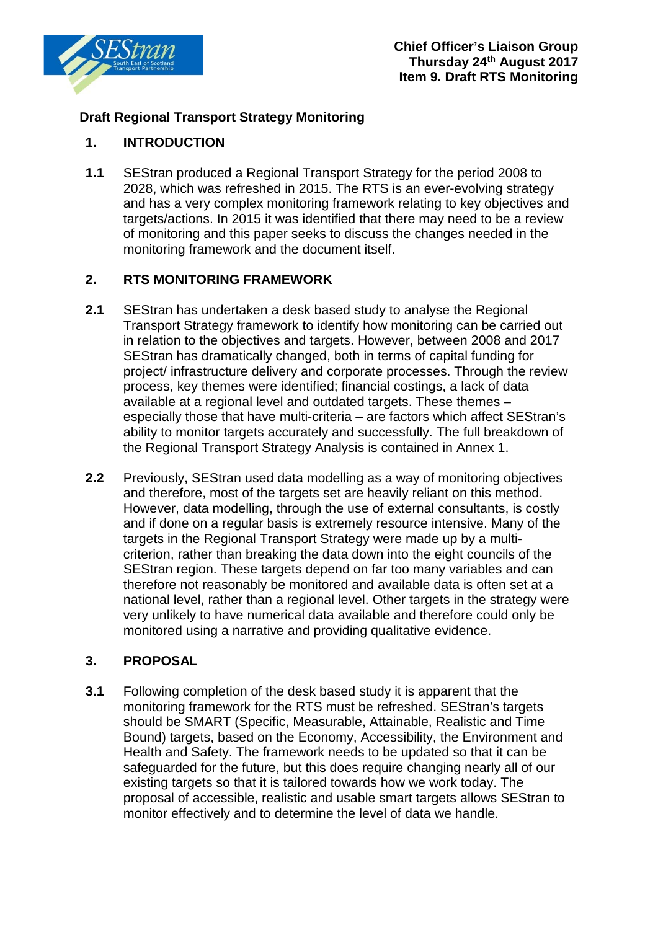

# **Draft Regional Transport Strategy Monitoring**

#### **1. INTRODUCTION**

**1.1** SEStran produced a Regional Transport Strategy for the period 2008 to 2028, which was refreshed in 2015. The RTS is an ever-evolving strategy and has a very complex monitoring framework relating to key objectives and targets/actions. In 2015 it was identified that there may need to be a review of monitoring and this paper seeks to discuss the changes needed in the monitoring framework and the document itself.

#### **2. RTS MONITORING FRAMEWORK**

- **2.1** SEStran has undertaken a desk based study to analyse the Regional Transport Strategy framework to identify how monitoring can be carried out in relation to the objectives and targets. However, between 2008 and 2017 SEStran has dramatically changed, both in terms of capital funding for project/ infrastructure delivery and corporate processes. Through the review process, key themes were identified; financial costings, a lack of data available at a regional level and outdated targets. These themes – especially those that have multi-criteria – are factors which affect SEStran's ability to monitor targets accurately and successfully. The full breakdown of the Regional Transport Strategy Analysis is contained in Annex 1.
- **2.2** Previously, SEStran used data modelling as a way of monitoring objectives and therefore, most of the targets set are heavily reliant on this method. However, data modelling, through the use of external consultants, is costly and if done on a regular basis is extremely resource intensive. Many of the targets in the Regional Transport Strategy were made up by a multicriterion, rather than breaking the data down into the eight councils of the SEStran region. These targets depend on far too many variables and can therefore not reasonably be monitored and available data is often set at a national level, rather than a regional level. Other targets in the strategy were very unlikely to have numerical data available and therefore could only be monitored using a narrative and providing qualitative evidence.

#### **3. PROPOSAL**

**3.1** Following completion of the desk based study it is apparent that the monitoring framework for the RTS must be refreshed. SEStran's targets should be SMART (Specific, Measurable, Attainable, Realistic and Time Bound) targets, based on the Economy, Accessibility, the Environment and Health and Safety. The framework needs to be updated so that it can be safeguarded for the future, but this does require changing nearly all of our existing targets so that it is tailored towards how we work today. The proposal of accessible, realistic and usable smart targets allows SEStran to monitor effectively and to determine the level of data we handle.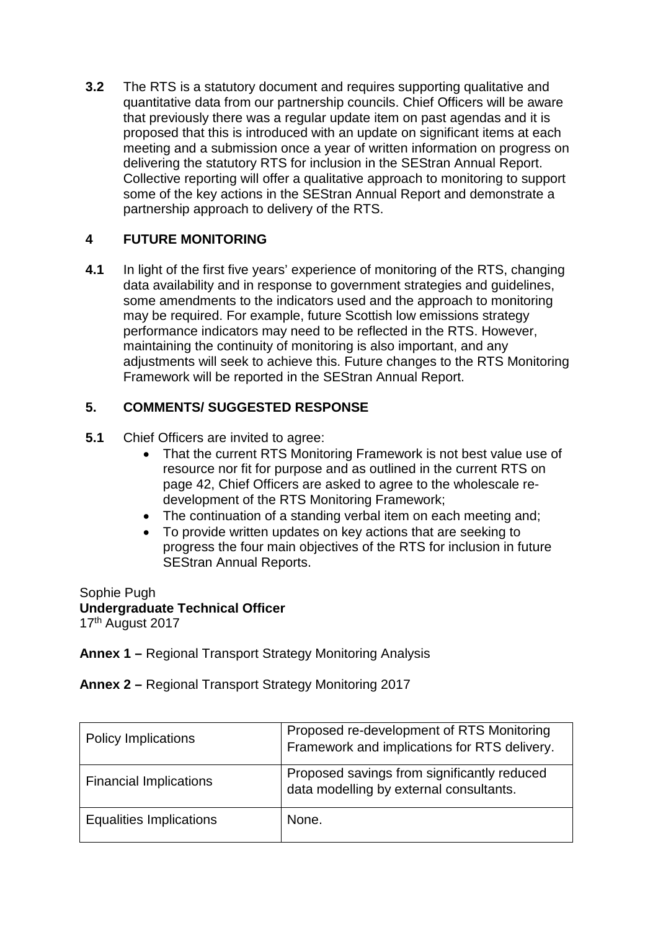**3.2** The RTS is a statutory document and requires supporting qualitative and quantitative data from our partnership councils. Chief Officers will be aware that previously there was a regular update item on past agendas and it is proposed that this is introduced with an update on significant items at each meeting and a submission once a year of written information on progress on delivering the statutory RTS for inclusion in the SEStran Annual Report. Collective reporting will offer a qualitative approach to monitoring to support some of the key actions in the SEStran Annual Report and demonstrate a partnership approach to delivery of the RTS.

## **4 FUTURE MONITORING**

**4.1** In light of the first five years' experience of monitoring of the RTS, changing data availability and in response to government strategies and guidelines, some amendments to the indicators used and the approach to monitoring may be required. For example, future Scottish low emissions strategy performance indicators may need to be reflected in the RTS. However, maintaining the continuity of monitoring is also important, and any adjustments will seek to achieve this. Future changes to the RTS Monitoring Framework will be reported in the SEStran Annual Report.

#### **5. COMMENTS/ SUGGESTED RESPONSE**

- **5.1** Chief Officers are invited to agree:
	- That the current RTS Monitoring Framework is not best value use of resource nor fit for purpose and as outlined in the current RTS on page 42, Chief Officers are asked to agree to the wholescale redevelopment of the RTS Monitoring Framework;
	- The continuation of a standing verbal item on each meeting and;
	- To provide written updates on key actions that are seeking to progress the four main objectives of the RTS for inclusion in future SEStran Annual Reports.

Sophie Pugh **Undergraduate Technical Officer**  17th August 2017

**Annex 1 –** Regional Transport Strategy Monitoring Analysis

**Annex 2 –** Regional Transport Strategy Monitoring 2017

| <b>Policy Implications</b>     | Proposed re-development of RTS Monitoring<br>Framework and implications for RTS delivery. |
|--------------------------------|-------------------------------------------------------------------------------------------|
| <b>Financial Implications</b>  | Proposed savings from significantly reduced<br>data modelling by external consultants.    |
| <b>Equalities Implications</b> | None.                                                                                     |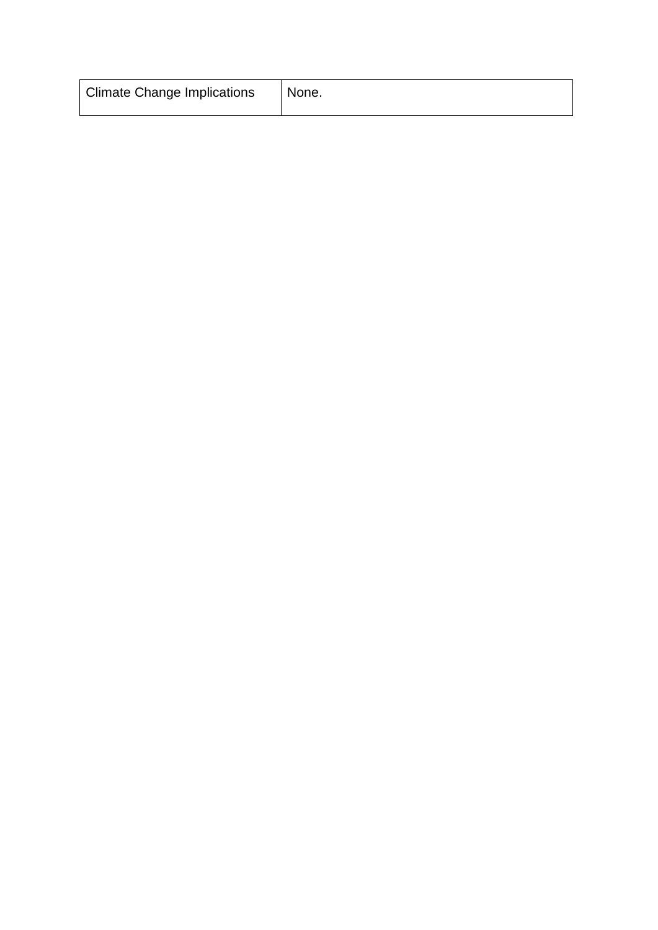| <b>Climate Change Implications</b><br>None. |  |
|---------------------------------------------|--|
|---------------------------------------------|--|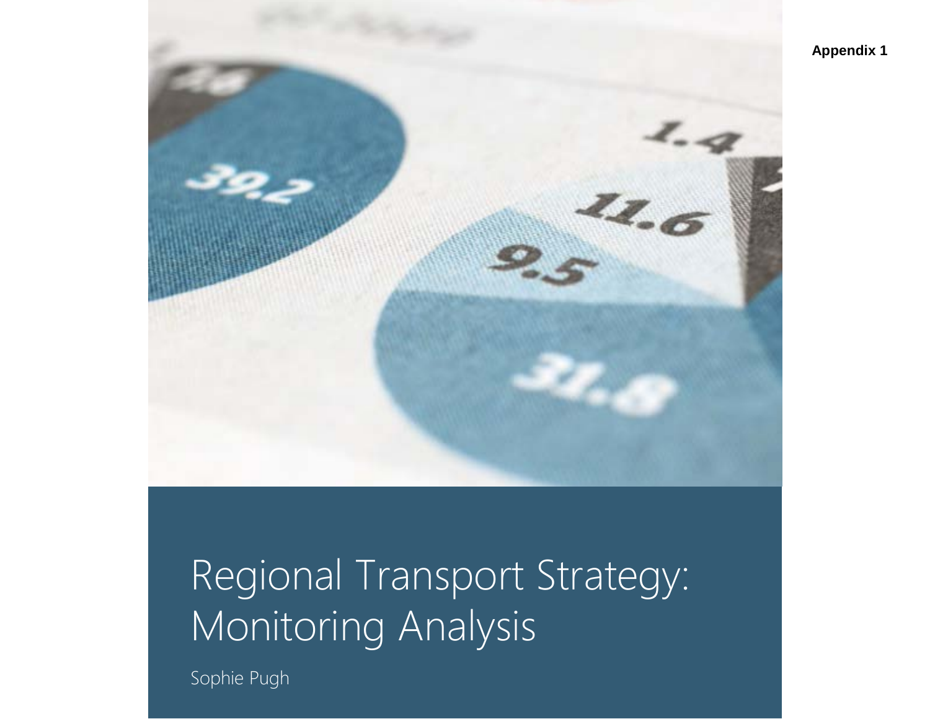

# Regional Transport Strategy: Monitoring Analysis

Sophie Pugh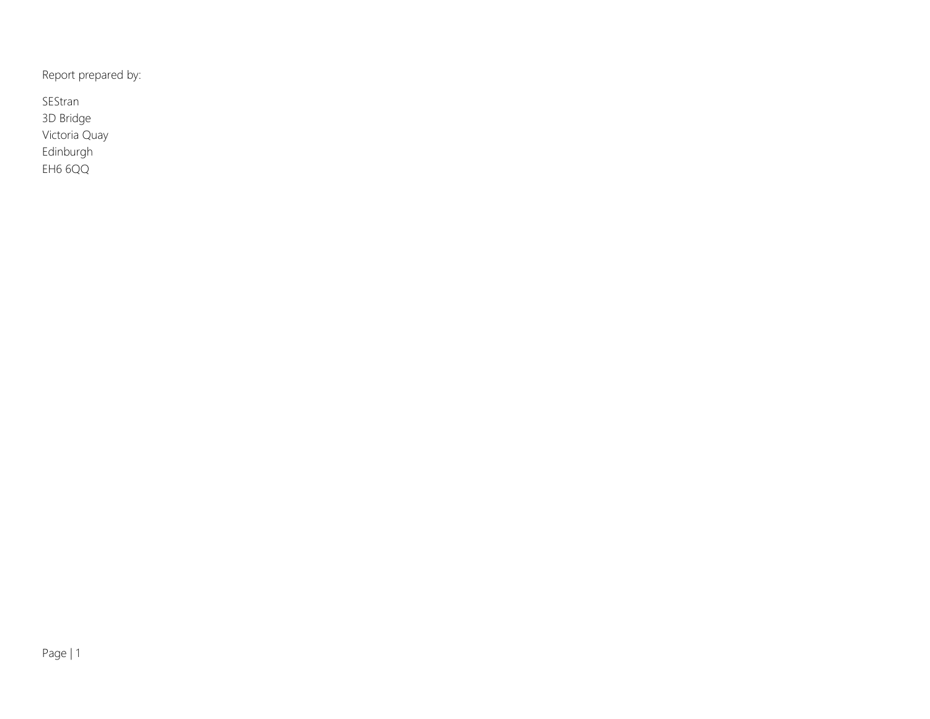Report prepared by:

SEStran 3D Bridge Victoria Quay Edinburgh EH6 6QQ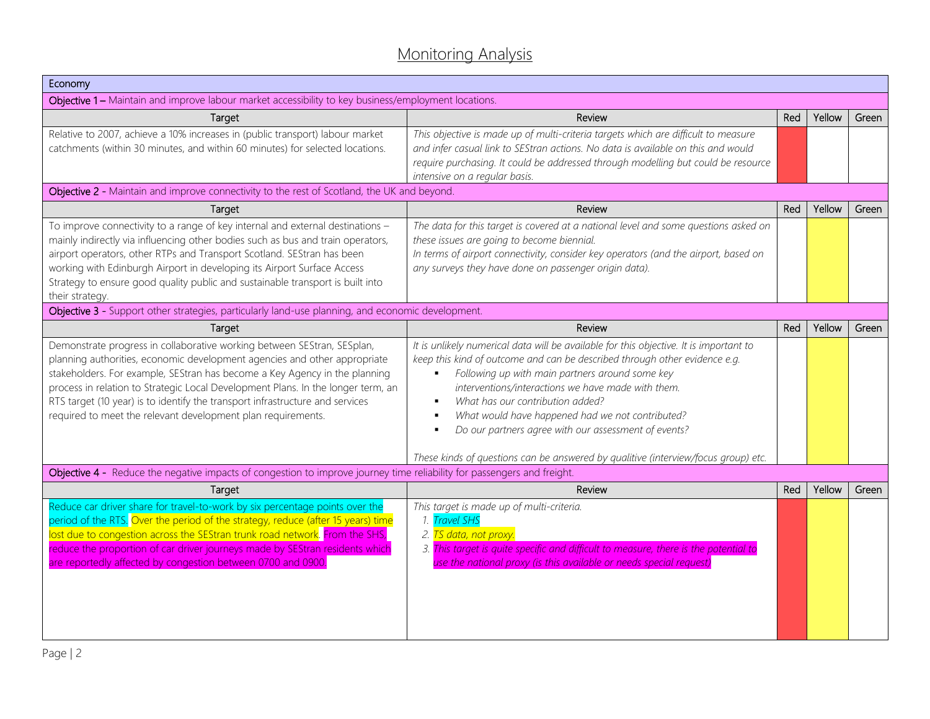# Monitoring Analysis

| Economy                                                                                                                                                                                                                                                                                                                                                                                                                                                                 |                                                                                                                                                                                                                                                                                                                                                                                                                                                                                                                                                         |     |        |       |
|-------------------------------------------------------------------------------------------------------------------------------------------------------------------------------------------------------------------------------------------------------------------------------------------------------------------------------------------------------------------------------------------------------------------------------------------------------------------------|---------------------------------------------------------------------------------------------------------------------------------------------------------------------------------------------------------------------------------------------------------------------------------------------------------------------------------------------------------------------------------------------------------------------------------------------------------------------------------------------------------------------------------------------------------|-----|--------|-------|
| Objective 1 - Maintain and improve labour market accessibility to key business/employment locations.                                                                                                                                                                                                                                                                                                                                                                    |                                                                                                                                                                                                                                                                                                                                                                                                                                                                                                                                                         |     |        |       |
| Target                                                                                                                                                                                                                                                                                                                                                                                                                                                                  | Review                                                                                                                                                                                                                                                                                                                                                                                                                                                                                                                                                  | Red | Yellow | Green |
| Relative to 2007, achieve a 10% increases in (public transport) labour market<br>catchments (within 30 minutes, and within 60 minutes) for selected locations.                                                                                                                                                                                                                                                                                                          | This objective is made up of multi-criteria targets which are difficult to measure<br>and infer casual link to SEStran actions. No data is available on this and would<br>require purchasing. It could be addressed through modelling but could be resource<br>intensive on a regular basis.                                                                                                                                                                                                                                                            |     |        |       |
| Objective 2 - Maintain and improve connectivity to the rest of Scotland, the UK and beyond.                                                                                                                                                                                                                                                                                                                                                                             |                                                                                                                                                                                                                                                                                                                                                                                                                                                                                                                                                         |     |        |       |
| Target                                                                                                                                                                                                                                                                                                                                                                                                                                                                  | Review                                                                                                                                                                                                                                                                                                                                                                                                                                                                                                                                                  | Red | Yellow | Green |
| To improve connectivity to a range of key internal and external destinations -<br>mainly indirectly via influencing other bodies such as bus and train operators,<br>airport operators, other RTPs and Transport Scotland. SEStran has been<br>working with Edinburgh Airport in developing its Airport Surface Access<br>Strategy to ensure good quality public and sustainable transport is built into<br>their strategy.                                             | The data for this target is covered at a national level and some questions asked on<br>these issues are going to become biennial.<br>In terms of airport connectivity, consider key operators (and the airport, based on<br>any surveys they have done on passenger origin data).                                                                                                                                                                                                                                                                       |     |        |       |
| Objective 3 - Support other strategies, particularly land-use planning, and economic development.                                                                                                                                                                                                                                                                                                                                                                       |                                                                                                                                                                                                                                                                                                                                                                                                                                                                                                                                                         |     |        |       |
| Target                                                                                                                                                                                                                                                                                                                                                                                                                                                                  | Review                                                                                                                                                                                                                                                                                                                                                                                                                                                                                                                                                  | Red | Yellow | Green |
| Demonstrate progress in collaborative working between SEStran, SESplan,<br>planning authorities, economic development agencies and other appropriate<br>stakeholders. For example, SEStran has become a Key Agency in the planning<br>process in relation to Strategic Local Development Plans. In the longer term, an<br>RTS target (10 year) is to identify the transport infrastructure and services<br>required to meet the relevant development plan requirements. | It is unlikely numerical data will be available for this objective. It is important to<br>keep this kind of outcome and can be described through other evidence e.g.<br>Following up with main partners around some key<br>interventions/interactions we have made with them.<br>What has our contribution added?<br>$\blacksquare$<br>What would have happened had we not contributed?<br>Do our partners agree with our assessment of events?<br>$\blacksquare$<br>These kinds of questions can be answered by qualitive (interview/focus group) etc. |     |        |       |
| Objective 4 - Reduce the negative impacts of congestion to improve journey time reliability for passengers and freight.                                                                                                                                                                                                                                                                                                                                                 |                                                                                                                                                                                                                                                                                                                                                                                                                                                                                                                                                         |     |        |       |
| Target                                                                                                                                                                                                                                                                                                                                                                                                                                                                  | Review                                                                                                                                                                                                                                                                                                                                                                                                                                                                                                                                                  | Red | Yellow | Green |
| Reduce car driver share for travel-to-work by six percentage points over the<br>period of the RTS. <mark>Over the period of the strategy, reduce (after 15 years) time</mark><br>lost due to congestion across the SEStran trunk road network. From the SHS,<br>reduce the proportion of car driver journeys made by SEStran residents which<br>are reportedly affected by congestion between 0700 and 0900.                                                            | This target is made up of multi-criteria.<br>1. Travel SHS<br>2. TS data, not proxy.<br>3. This target is quite specific and difficult to measure, there is the potential to<br>use the national proxy (is this available or needs special request)                                                                                                                                                                                                                                                                                                     |     |        |       |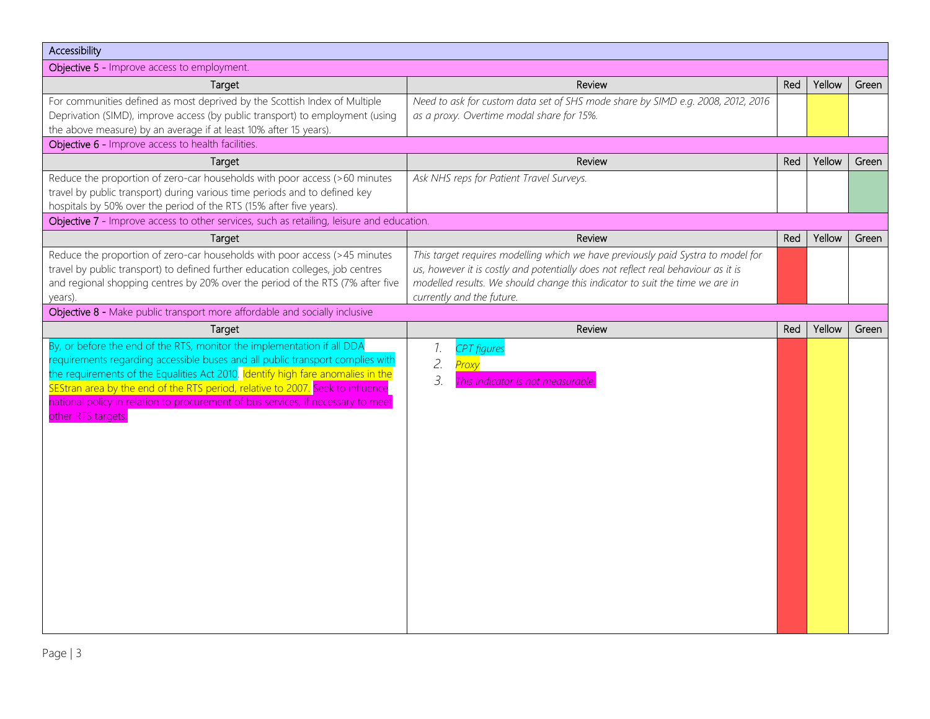| Accessibility                                                                                                                                                                                                                                                                                                                                                                                                                             |                                                                                                                                                                                                                                                                                    |     |        |       |
|-------------------------------------------------------------------------------------------------------------------------------------------------------------------------------------------------------------------------------------------------------------------------------------------------------------------------------------------------------------------------------------------------------------------------------------------|------------------------------------------------------------------------------------------------------------------------------------------------------------------------------------------------------------------------------------------------------------------------------------|-----|--------|-------|
| Objective 5 - Improve access to employment.                                                                                                                                                                                                                                                                                                                                                                                               |                                                                                                                                                                                                                                                                                    |     |        |       |
| Target                                                                                                                                                                                                                                                                                                                                                                                                                                    | Review                                                                                                                                                                                                                                                                             | Red | Yellow | Green |
| For communities defined as most deprived by the Scottish Index of Multiple<br>Deprivation (SIMD), improve access (by public transport) to employment (using<br>the above measure) by an average if at least 10% after 15 years).                                                                                                                                                                                                          | Need to ask for custom data set of SHS mode share by SIMD e.g. 2008, 2012, 2016<br>as a proxy. Overtime modal share for 15%.                                                                                                                                                       |     |        |       |
| Objective 6 - Improve access to health facilities.                                                                                                                                                                                                                                                                                                                                                                                        |                                                                                                                                                                                                                                                                                    |     |        |       |
| Target                                                                                                                                                                                                                                                                                                                                                                                                                                    | Review                                                                                                                                                                                                                                                                             | Red | Yellow | Green |
| Reduce the proportion of zero-car households with poor access (>60 minutes<br>travel by public transport) during various time periods and to defined key<br>hospitals by 50% over the period of the RTS (15% after five years).                                                                                                                                                                                                           | Ask NHS reps for Patient Travel Surveys.                                                                                                                                                                                                                                           |     |        |       |
| Objective 7 - Improve access to other services, such as retailing, leisure and education.                                                                                                                                                                                                                                                                                                                                                 |                                                                                                                                                                                                                                                                                    |     |        |       |
| Target                                                                                                                                                                                                                                                                                                                                                                                                                                    | Review                                                                                                                                                                                                                                                                             | Red | Yellow | Green |
| Reduce the proportion of zero-car households with poor access (>45 minutes<br>travel by public transport) to defined further education colleges, job centres<br>and regional shopping centres by 20% over the period of the RTS (7% after five<br>years).                                                                                                                                                                                 | This target requires modelling which we have previously paid Systra to model for<br>us, however it is costly and potentially does not reflect real behaviour as it is<br>modelled results. We should change this indicator to suit the time we are in<br>currently and the future. |     |        |       |
| Objective 8 - Make public transport more affordable and socially inclusive                                                                                                                                                                                                                                                                                                                                                                |                                                                                                                                                                                                                                                                                    |     |        |       |
| Target                                                                                                                                                                                                                                                                                                                                                                                                                                    | Review                                                                                                                                                                                                                                                                             | Red | Yellow | Green |
| By, or before the end of the RTS, monitor the implementation if all DDA<br>requirements regarding accessible buses and all public transport complies with<br>the requirements of the Equalities Act 2010. Identify high fare anomalies in the<br>SEStran area by the end of the RTS period, relative to 2007. Seek to influence<br>national policy in relation to procurement of bus services, if necessary to meet<br>other RTS targets. | 1.<br><b>CPT</b> figures<br>2.<br>Prox<br>3.<br>This indicator is not measurable                                                                                                                                                                                                   |     |        |       |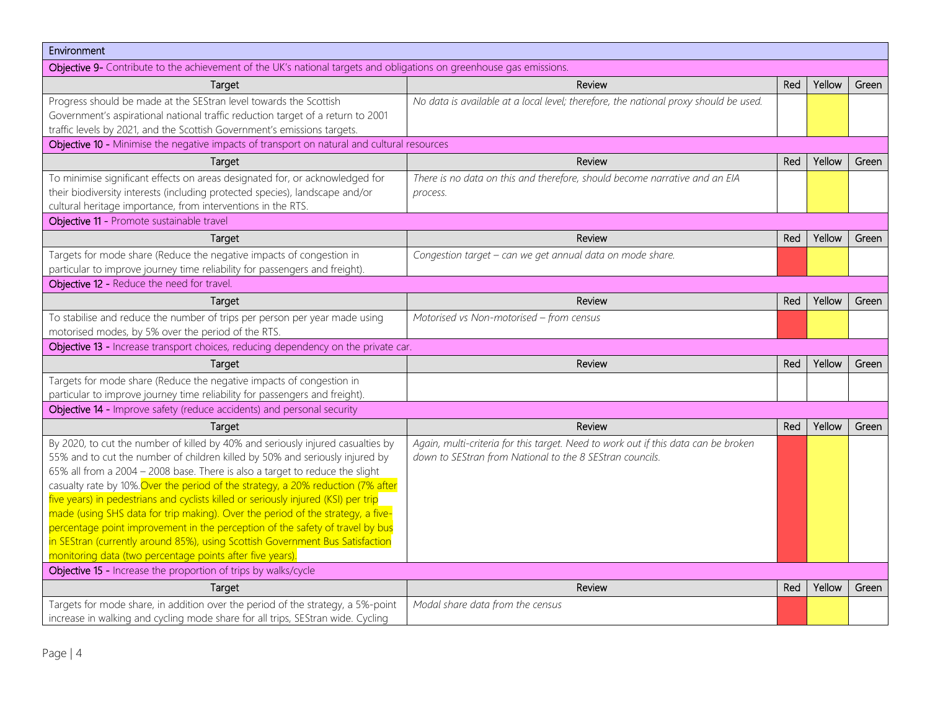| Environment                                                                                                                                                                                                                                                                                                                                                                                                                                                                                                                                                                                                                                                                                                                                                                                                  |                                                                                                                                                |     |        |       |
|--------------------------------------------------------------------------------------------------------------------------------------------------------------------------------------------------------------------------------------------------------------------------------------------------------------------------------------------------------------------------------------------------------------------------------------------------------------------------------------------------------------------------------------------------------------------------------------------------------------------------------------------------------------------------------------------------------------------------------------------------------------------------------------------------------------|------------------------------------------------------------------------------------------------------------------------------------------------|-----|--------|-------|
| Objective 9- Contribute to the achievement of the UK's national targets and obligations on greenhouse gas emissions.                                                                                                                                                                                                                                                                                                                                                                                                                                                                                                                                                                                                                                                                                         |                                                                                                                                                |     |        |       |
| Target                                                                                                                                                                                                                                                                                                                                                                                                                                                                                                                                                                                                                                                                                                                                                                                                       | Review                                                                                                                                         | Red | Yellow | Green |
| Progress should be made at the SEStran level towards the Scottish<br>Government's aspirational national traffic reduction target of a return to 2001<br>traffic levels by 2021, and the Scottish Government's emissions targets.                                                                                                                                                                                                                                                                                                                                                                                                                                                                                                                                                                             | No data is available at a local level; therefore, the national proxy should be used.                                                           |     |        |       |
| Objective 10 - Minimise the negative impacts of transport on natural and cultural resources                                                                                                                                                                                                                                                                                                                                                                                                                                                                                                                                                                                                                                                                                                                  |                                                                                                                                                |     |        |       |
| Target                                                                                                                                                                                                                                                                                                                                                                                                                                                                                                                                                                                                                                                                                                                                                                                                       | Review                                                                                                                                         | Red | Yellow | Green |
| To minimise significant effects on areas designated for, or acknowledged for<br>their biodiversity interests (including protected species), landscape and/or<br>cultural heritage importance, from interventions in the RTS.                                                                                                                                                                                                                                                                                                                                                                                                                                                                                                                                                                                 | There is no data on this and therefore, should become narrative and an EIA<br>process.                                                         |     |        |       |
| Objective 11 - Promote sustainable travel                                                                                                                                                                                                                                                                                                                                                                                                                                                                                                                                                                                                                                                                                                                                                                    |                                                                                                                                                |     |        |       |
| Target                                                                                                                                                                                                                                                                                                                                                                                                                                                                                                                                                                                                                                                                                                                                                                                                       | Review                                                                                                                                         | Red | Yellow | Green |
| Targets for mode share (Reduce the negative impacts of congestion in<br>particular to improve journey time reliability for passengers and freight).                                                                                                                                                                                                                                                                                                                                                                                                                                                                                                                                                                                                                                                          | Congestion target - can we get annual data on mode share.                                                                                      |     |        |       |
| Objective 12 - Reduce the need for travel.                                                                                                                                                                                                                                                                                                                                                                                                                                                                                                                                                                                                                                                                                                                                                                   |                                                                                                                                                |     |        |       |
| Target                                                                                                                                                                                                                                                                                                                                                                                                                                                                                                                                                                                                                                                                                                                                                                                                       | Review                                                                                                                                         | Red | Yellow | Green |
| To stabilise and reduce the number of trips per person per year made using<br>motorised modes, by 5% over the period of the RTS.                                                                                                                                                                                                                                                                                                                                                                                                                                                                                                                                                                                                                                                                             | Motorised vs Non-motorised - from census                                                                                                       |     |        |       |
| Objective 13 - Increase transport choices, reducing dependency on the private car.                                                                                                                                                                                                                                                                                                                                                                                                                                                                                                                                                                                                                                                                                                                           |                                                                                                                                                |     |        |       |
| Target                                                                                                                                                                                                                                                                                                                                                                                                                                                                                                                                                                                                                                                                                                                                                                                                       | Review                                                                                                                                         | Red | Yellow | Green |
| Targets for mode share (Reduce the negative impacts of congestion in<br>particular to improve journey time reliability for passengers and freight).                                                                                                                                                                                                                                                                                                                                                                                                                                                                                                                                                                                                                                                          |                                                                                                                                                |     |        |       |
| Objective 14 - Improve safety (reduce accidents) and personal security                                                                                                                                                                                                                                                                                                                                                                                                                                                                                                                                                                                                                                                                                                                                       |                                                                                                                                                |     |        |       |
| Target                                                                                                                                                                                                                                                                                                                                                                                                                                                                                                                                                                                                                                                                                                                                                                                                       | Review                                                                                                                                         | Red | Yellow | Green |
| By 2020, to cut the number of killed by 40% and seriously injured casualties by<br>55% and to cut the number of children killed by 50% and seriously injured by<br>65% all from a 2004 - 2008 base. There is also a target to reduce the slight<br>casualty rate by 10%. Over the period of the strategy, a 20% reduction (7% after<br>five years) in pedestrians and cyclists killed or seriously injured (KSI) per trip<br>made (using SHS data for trip making). Over the period of the strategy, a five-<br>percentage point improvement in the perception of the safety of travel by bus<br>in SEStran (currently around 85%), using Scottish Government Bus Satisfaction<br>monitoring data (two percentage points after five years)<br>Objective 15 - Increase the proportion of trips by walks/cycle | Again, multi-criteria for this target. Need to work out if this data can be broken<br>down to SEStran from National to the 8 SEStran councils. |     |        |       |
| Target                                                                                                                                                                                                                                                                                                                                                                                                                                                                                                                                                                                                                                                                                                                                                                                                       | Review                                                                                                                                         | Red | Yellow | Green |
| Targets for mode share, in addition over the period of the strategy, a 5%-point<br>increase in walking and cycling mode share for all trips, SEStran wide. Cycling                                                                                                                                                                                                                                                                                                                                                                                                                                                                                                                                                                                                                                           | Modal share data from the census                                                                                                               |     |        |       |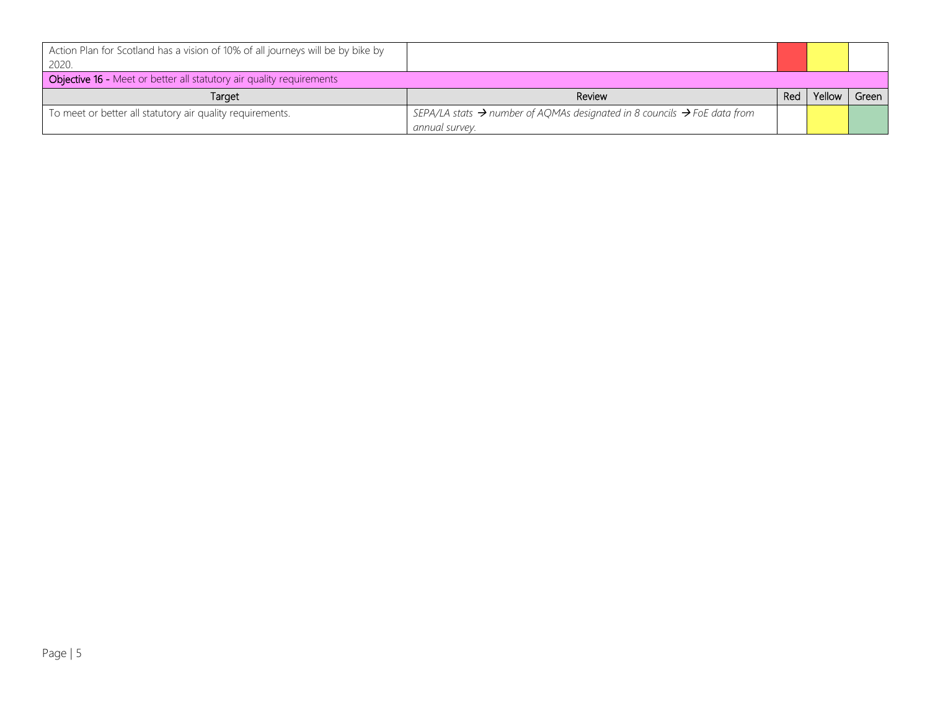| Action Plan for Scotland has a vision of 10% of all journeys will be by bike by<br>2020. |                                                                                                  |     |        |       |
|------------------------------------------------------------------------------------------|--------------------------------------------------------------------------------------------------|-----|--------|-------|
| Objective 16 - Meet or better all statutory air quality requirements                     |                                                                                                  |     |        |       |
| Target                                                                                   | Review                                                                                           | Red | Yellow | Green |
| To meet or better all statutory air quality requirements.                                | SEPA/LA stats $\rightarrow$ number of AQMAs designated in 8 councils $\rightarrow$ FoE data from |     |        |       |
|                                                                                          | annual survey.                                                                                   |     |        |       |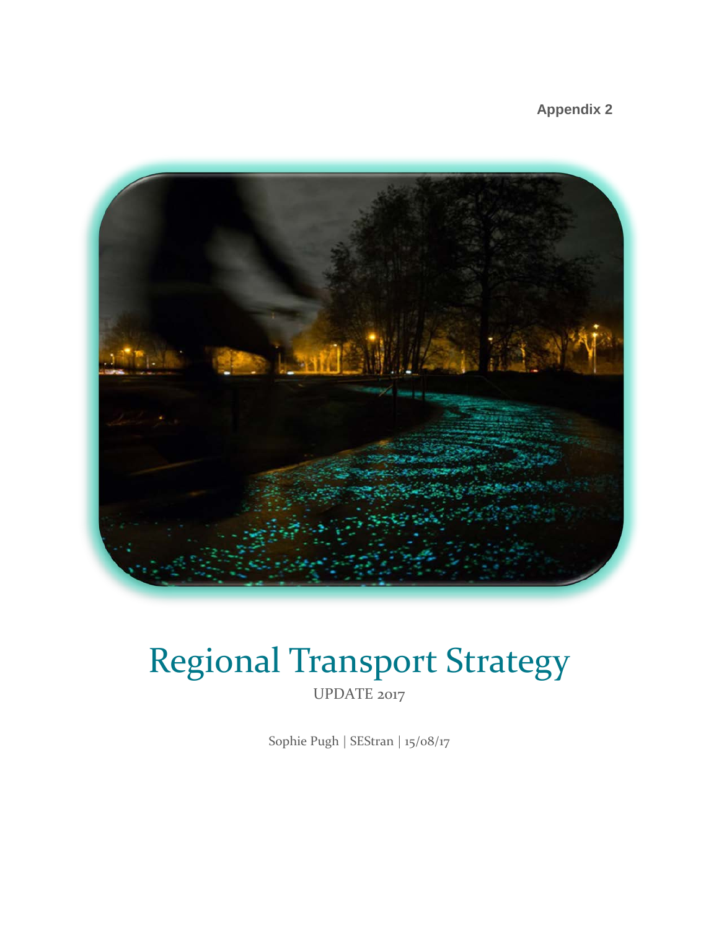**Appendix 2** 



# Regional Transport Strategy

UPDATE 2017

Sophie Pugh | SEStran | 15/08/17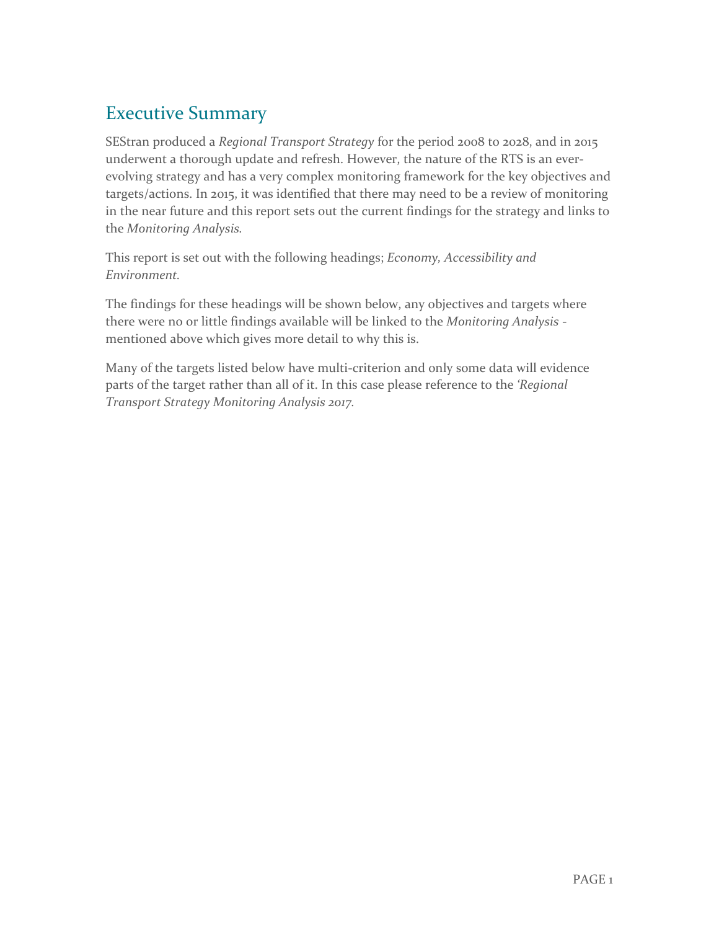# Executive Summary

SEStran produced a *Regional Transport Strategy* for the period 2008 to 2028, and in 2015 underwent a thorough update and refresh. However, the nature of the RTS is an everevolving strategy and has a very complex monitoring framework for the key objectives and targets/actions. In 2015, it was identified that there may need to be a review of monitoring in the near future and this report sets out the current findings for the strategy and links to the *Monitoring Analysis.* 

This report is set out with the following headings; *Economy, Accessibility and Environment.* 

The findings for these headings will be shown below, any objectives and targets where there were no or little findings available will be linked to the *Monitoring Analysis* mentioned above which gives more detail to why this is.

Many of the targets listed below have multi-criterion and only some data will evidence parts of the target rather than all of it. In this case please reference to the *'Regional Transport Strategy Monitoring Analysis 2017.*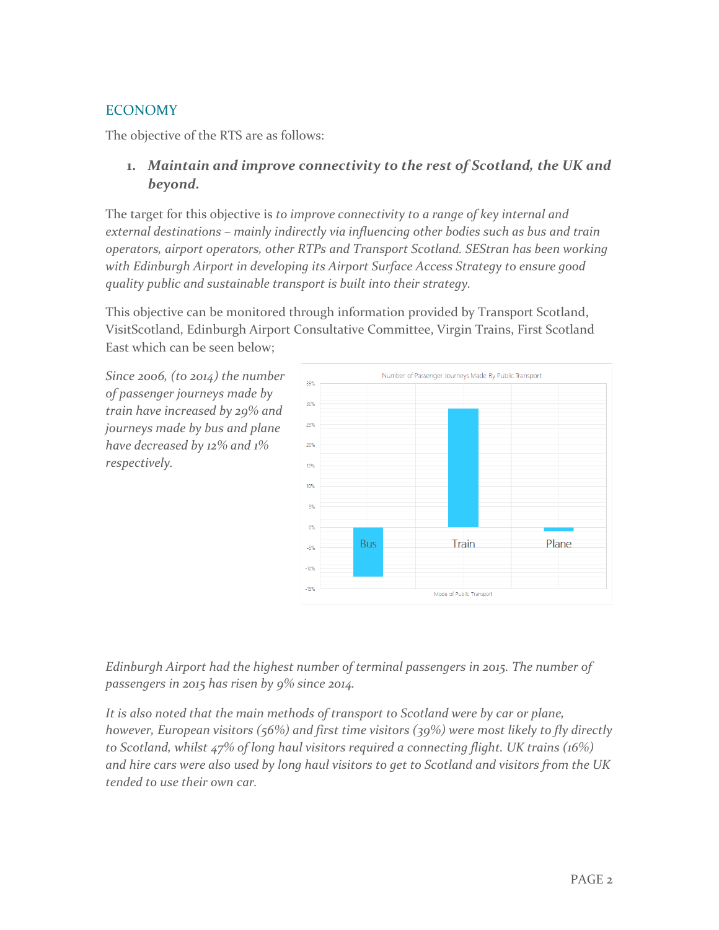#### **ECONOMY**

The objective of the RTS are as follows:

#### **1.** *Maintain and improve connectivity to the rest of Scotland, the UK and beyond.*

The target for this objective is *to improve connectivity to a range of key internal and external destinations – mainly indirectly via influencing other bodies such as bus and train operators, airport operators, other RTPs and Transport Scotland. SEStran has been working with Edinburgh Airport in developing its Airport Surface Access Strategy to ensure good quality public and sustainable transport is built into their strategy.* 

This objective can be monitored through information provided by Transport Scotland, VisitScotland, Edinburgh Airport Consultative Committee, Virgin Trains, First Scotland East which can be seen below;

*Since 2006, (to 2014) the number of passenger journeys made by train have increased by 29% and journeys made by bus and plane have decreased by 12% and 1% respectively.* 



*Edinburgh Airport had the highest number of terminal passengers in 2015. The number of passengers in 2015 has risen by 9% since 2014.* 

*It is also noted that the main methods of transport to Scotland were by car or plane, however, European visitors (56%) and first time visitors (39%) were most likely to fly directly to Scotland, whilst 47% of long haul visitors required a connecting flight. UK trains (16%) and hire cars were also used by long haul visitors to get to Scotland and visitors from the UK tended to use their own car.*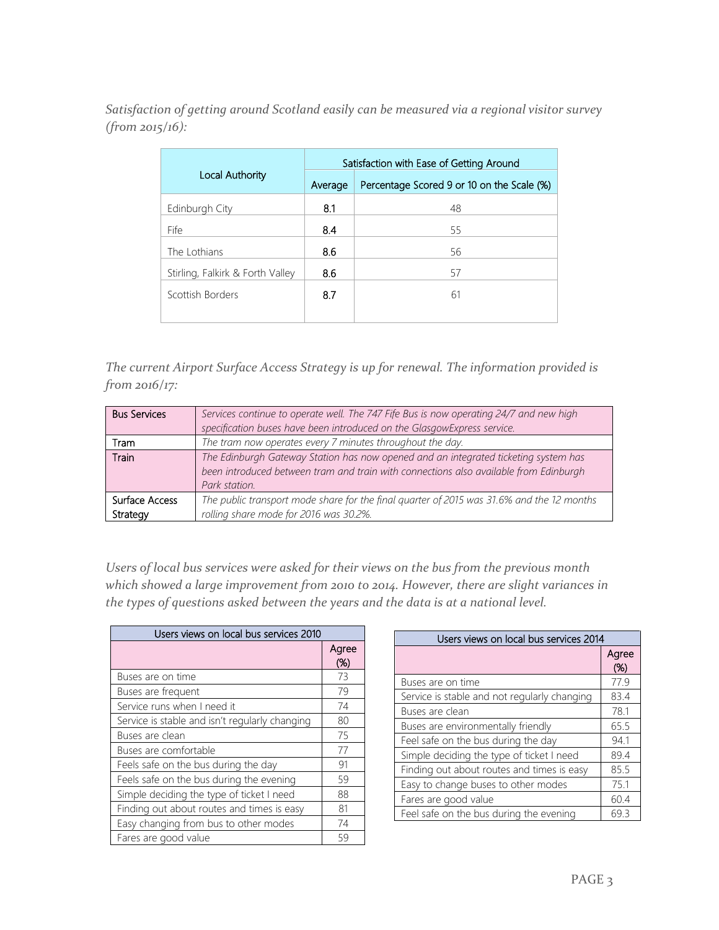#### *Satisfaction of getting around Scotland easily can be measured via a regional visitor survey (from 2015/16):*

|                                  | Satisfaction with Ease of Getting Around |                                            |  |  |
|----------------------------------|------------------------------------------|--------------------------------------------|--|--|
| Local Authority                  | Average                                  | Percentage Scored 9 or 10 on the Scale (%) |  |  |
| Edinburgh City                   | 8.1                                      | 48                                         |  |  |
| Fife                             | 8.4                                      | 55                                         |  |  |
| The Lothians                     | 8.6                                      | 56                                         |  |  |
| Stirling, Falkirk & Forth Valley | 8.6                                      | 57                                         |  |  |
| Scottish Borders                 | 8.7                                      | 61                                         |  |  |
|                                  |                                          |                                            |  |  |

*The current Airport Surface Access Strategy is up for renewal. The information provided is from 2016/17:* 

| <b>Bus Services</b> | Services continue to operate well. The 747 Fife Bus is now operating 24/7 and new high<br>specification buses have been introduced on the GlasgowExpress service.                             |
|---------------------|-----------------------------------------------------------------------------------------------------------------------------------------------------------------------------------------------|
| Tram                | The tram now operates every 7 minutes throughout the day.                                                                                                                                     |
| <b>Train</b>        | The Edinburgh Gateway Station has now opened and an integrated ticketing system has<br>been introduced between tram and train with connections also available from Edinburgh<br>Park station. |
| Surface Access      | The public transport mode share for the final quarter of 2015 was 31.6% and the 12 months                                                                                                     |
| Strategy            | rolling share mode for 2016 was 30.2%.                                                                                                                                                        |

*Users of local bus services were asked for their views on the bus from the previous month which showed a large improvement from 2010 to 2014. However, there are slight variances in the types of questions asked between the years and the data is at a national level.* 

| Users views on local bus services 2010         |              |
|------------------------------------------------|--------------|
|                                                | Agree<br>(%) |
| Buses are on time                              | 73           |
| Buses are frequent                             | 79           |
| Service runs when I need it                    | 74           |
| Service is stable and isn't regularly changing | 80           |
| Buses are clean                                | 75           |
| Buses are comfortable                          | 77           |
| Feels safe on the bus during the day           | 91           |
| Feels safe on the bus during the evening       | 59           |
| Simple deciding the type of ticket I need      | 88           |
| Finding out about routes and times is easy     | 81           |
| Easy changing from bus to other modes          | 74           |
| Fares are good value                           | 59           |

| Users views on local bus services 2014       |              |  |
|----------------------------------------------|--------------|--|
|                                              | Agree<br>(%) |  |
| Buses are on time                            | 77.9         |  |
| Service is stable and not regularly changing | 83.4         |  |
| Buses are clean                              | 78.1         |  |
| Buses are environmentally friendly           | 65.5         |  |
| Feel safe on the bus during the day          | 94.1         |  |
| Simple deciding the type of ticket I need    | 89.4         |  |
| Finding out about routes and times is easy   | 85.5         |  |
| Easy to change buses to other modes          | 75.1         |  |
| Fares are good value                         | 60.4         |  |
| Feel safe on the bus during the evening      | 69.3         |  |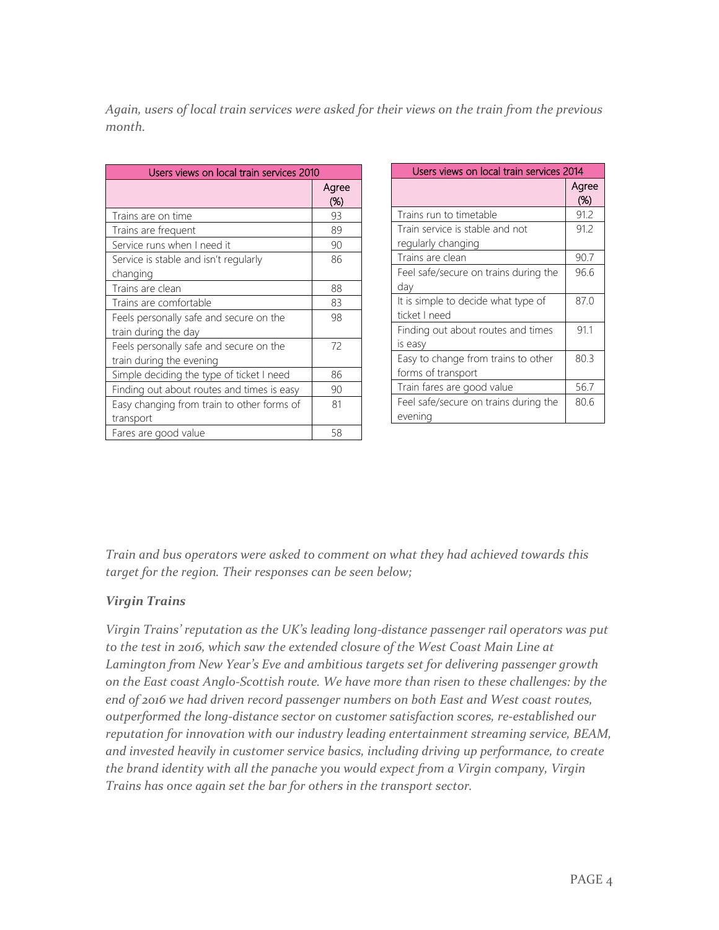*Again, users of local train services were asked for their views on the train from the previous month.* 

| Users views on local train services 2010   |              |  |
|--------------------------------------------|--------------|--|
|                                            | Agree<br>(%) |  |
| Trains are on time                         | 93           |  |
| Trains are frequent                        | 89           |  |
| Service runs when I need it                | 90           |  |
| Service is stable and isn't regularly      | 86           |  |
| changing                                   |              |  |
| Trains are clean                           | 88           |  |
| Trains are comfortable                     | 83           |  |
| Feels personally safe and secure on the    | 98           |  |
| train during the day                       |              |  |
| Feels personally safe and secure on the    | 72           |  |
| train during the evening                   |              |  |
| Simple deciding the type of ticket I need  | 86           |  |
| Finding out about routes and times is easy | 90           |  |
| Easy changing from train to other forms of | 81           |  |
| transport                                  |              |  |
| Fares are good value                       | 58           |  |

| Users views on local train services 2014                  |                 |  |
|-----------------------------------------------------------|-----------------|--|
|                                                           | Agree<br>$(\%)$ |  |
| Trains run to timetable                                   | 91.2            |  |
| Train service is stable and not<br>regularly changing     | 91.2            |  |
| Trains are clean                                          | 90.7            |  |
| Feel safe/secure on trains during the<br>dav              | 96.6            |  |
| It is simple to decide what type of<br>ticket I need      | 87.0            |  |
| Finding out about routes and times<br>is easy             | 91.1            |  |
| Easy to change from trains to other<br>forms of transport | 80.3            |  |
| Train fares are good value                                | 56.7            |  |
| Feel safe/secure on trains during the<br>evening          | 80.6            |  |

*Train and bus operators were asked to comment on what they had achieved towards this target for the region. Their responses can be seen below;* 

#### *Virgin Trains*

*Virgin Trains' reputation as the UK's leading long-distance passenger rail operators was put*  to the test in 2016, which saw the extended closure of the West Coast Main Line at *Lamington from New Year's Eve and ambitious targets set for delivering passenger growth on the East coast Anglo-Scottish route. We have more than risen to these challenges: by the end of 2016 we had driven record passenger numbers on both East and West coast routes, outperformed the long-distance sector on customer satisfaction scores, re-established our reputation for innovation with our industry leading entertainment streaming service, BEAM, and invested heavily in customer service basics, including driving up performance, to create the brand identity with all the panache you would expect from a Virgin company, Virgin Trains has once again set the bar for others in the transport sector.*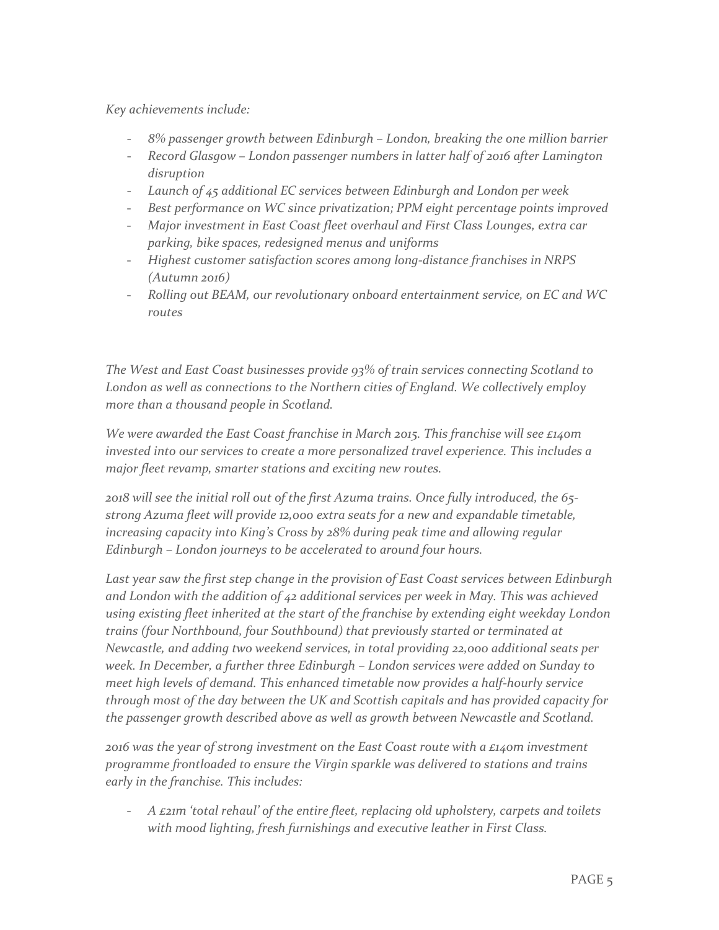*Key achievements include:* 

- *8% passenger growth between Edinburgh – London, breaking the one million barrier*
- *Record Glasgow – London passenger numbers in latter half of 2016 after Lamington disruption*
- *Launch of 45 additional EC services between Edinburgh and London per week*
- *Best performance on WC since privatization; PPM eight percentage points improved*
- *Major investment in East Coast fleet overhaul and First Class Lounges, extra car parking, bike spaces, redesigned menus and uniforms*
- *Highest customer satisfaction scores among long-distance franchises in NRPS (Autumn 2016)*
- *Rolling out BEAM, our revolutionary onboard entertainment service, on EC and WC routes*

*The West and East Coast businesses provide 93% of train services connecting Scotland to London as well as connections to the Northern cities of England. We collectively employ more than a thousand people in Scotland.* 

*We were awarded the East Coast franchise in March 2015. This franchise will see £140m invested into our services to create a more personalized travel experience. This includes a major fleet revamp, smarter stations and exciting new routes.* 

*2018 will see the initial roll out of the first Azuma trains. Once fully introduced, the 65 strong Azuma fleet will provide 12,000 extra seats for a new and expandable timetable, increasing capacity into King's Cross by 28% during peak time and allowing regular Edinburgh – London journeys to be accelerated to around four hours.* 

*Last year saw the first step change in the provision of East Coast services between Edinburgh and London with the addition of 42 additional services per week in May. This was achieved using existing fleet inherited at the start of the franchise by extending eight weekday London trains (four Northbound, four Southbound) that previously started or terminated at Newcastle, and adding two weekend services, in total providing 22,000 additional seats per week. In December, a further three Edinburgh – London services were added on Sunday to meet high levels of demand. This enhanced timetable now provides a half-hourly service through most of the day between the UK and Scottish capitals and has provided capacity for the passenger growth described above as well as growth between Newcastle and Scotland.* 

*2016 was the year of strong investment on the East Coast route with a £140m investment programme frontloaded to ensure the Virgin sparkle was delivered to stations and trains early in the franchise. This includes:*

- *A £21m 'total rehaul' of the entire fleet, replacing old upholstery, carpets and toilets with mood lighting, fresh furnishings and executive leather in First Class.*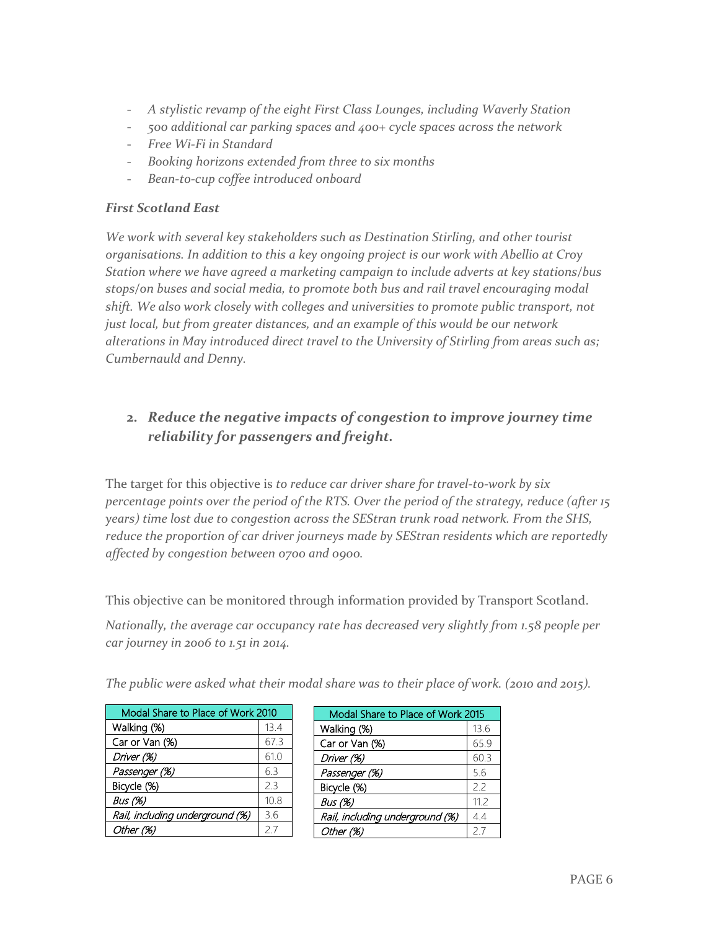- *A stylistic revamp of the eight First Class Lounges, including Waverly Station*
- *500 additional car parking spaces and 400+ cycle spaces across the network*
- *Free Wi-Fi in Standard*
- *Booking horizons extended from three to six months*
- *Bean-to-cup coffee introduced onboard*

#### *First Scotland East*

*We work with several key stakeholders such as Destination Stirling, and other tourist organisations. In addition to this a key ongoing project is our work with Abellio at Croy Station where we have agreed a marketing campaign to include adverts at key stations/bus stops/on buses and social media, to promote both bus and rail travel encouraging modal shift. We also work closely with colleges and universities to promote public transport, not just local, but from greater distances, and an example of this would be our network alterations in May introduced direct travel to the University of Stirling from areas such as; Cumbernauld and Denny.* 

# **2.** *Reduce the negative impacts of congestion to improve journey time reliability for passengers and freight.*

The target for this objective is *to reduce car driver share for travel-to-work by six percentage points over the period of the RTS. Over the period of the strategy, reduce (after 15 years) time lost due to congestion across the SEStran trunk road network. From the SHS, reduce the proportion of car driver journeys made by SEStran residents which are reportedly affected by congestion between 0700 and 0900.* 

This objective can be monitored through information provided by Transport Scotland.

*Nationally, the average car occupancy rate has decreased very slightly from 1.58 people per car journey in 2006 to 1.51 in 2014.* 

| Modal Share to Place of Work 2010 |      |  |
|-----------------------------------|------|--|
| Walking (%)                       | 13.4 |  |
| Car or Van (%)                    | 67.3 |  |
| Driver (%)                        | 61.0 |  |
| Passenger (%)                     | 6.3  |  |
| Bicycle (%)                       | 2.3  |  |
| Bus (%)                           | 10.8 |  |
| Rail, including underground (%)   | 3.6  |  |
| Other (%)                         | 27   |  |

| The public were asked what their modal share was to their place of work. (2010 and 2015). |  |
|-------------------------------------------------------------------------------------------|--|
|-------------------------------------------------------------------------------------------|--|

| Modal Share to Place of Work 2015 |          |  |  |
|-----------------------------------|----------|--|--|
| Walking (%)                       | 13.6     |  |  |
| Car or Van (%)                    | 65.9     |  |  |
| Driver (%)                        | 60.3     |  |  |
| Passenger (%)                     | 5.6      |  |  |
| Bicycle (%)                       | 22       |  |  |
| <b>Bus</b> (%)                    | 11.2     |  |  |
| Rail, including underground (%)   | 4.4      |  |  |
| Other (%)                         | $2_{.1}$ |  |  |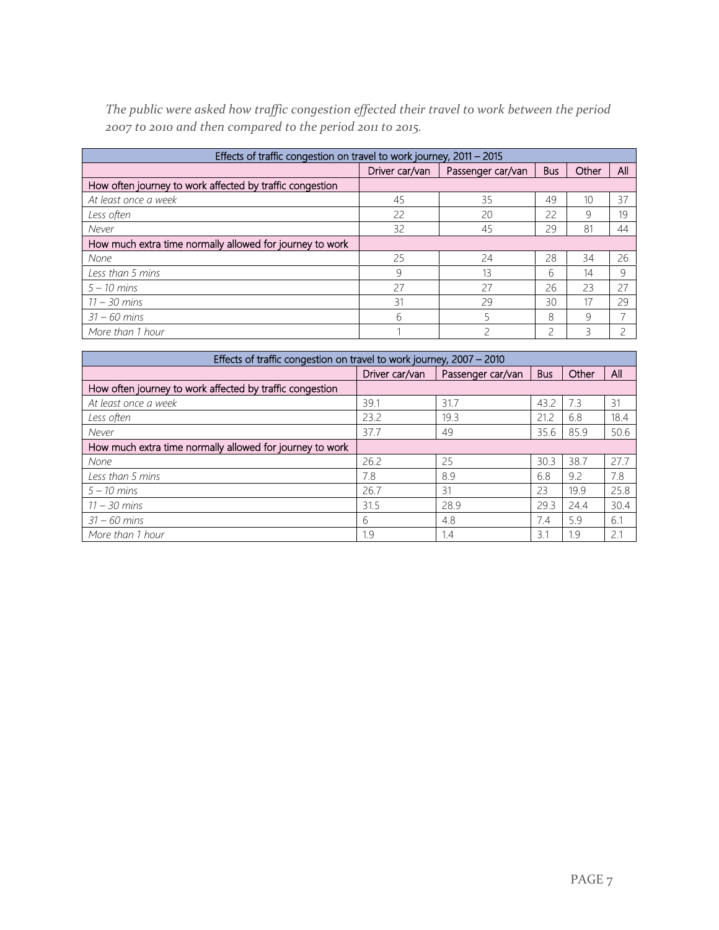*The public were asked how traffic congestion effected their travel to work between the period 2007 to 2010 and then compared to the period 2011 to 2015.* 

| Effects of traffic congestion on travel to work journey, 2011 - 2015 |                                     |    |            |       |     |  |  |
|----------------------------------------------------------------------|-------------------------------------|----|------------|-------|-----|--|--|
|                                                                      | Driver car/van<br>Passenger car/van |    | <b>Bus</b> | Other | All |  |  |
| How often journey to work affected by traffic congestion             |                                     |    |            |       |     |  |  |
| At least once a week                                                 | 45                                  | 35 | 49         | 10    | 37  |  |  |
| Less often                                                           | 22                                  | 20 | 22         | 9     | 19  |  |  |
| Never                                                                | 32                                  | 45 | 29         | 81    | 44  |  |  |
| How much extra time normally allowed for journey to work             |                                     |    |            |       |     |  |  |
| None                                                                 | 25                                  | 24 | 28         | 34    | 26  |  |  |
| Less than 5 mins                                                     | 9                                   | 13 | 6          | 14    | 9   |  |  |
| $5 - 10$ mins                                                        | 27                                  | 27 | 26         | 23    | 27  |  |  |
| $11 - 30$ mins                                                       | 31                                  | 29 | 30         | 17    | 29  |  |  |
| $31 - 60$ mins                                                       | 6                                   |    | 8          | 9     |     |  |  |
| More than 1 hour                                                     |                                     |    | ∍          |       |     |  |  |

| Effects of traffic congestion on travel to work journey, 2007 - 2010 |                |                   |            |       |      |  |  |  |
|----------------------------------------------------------------------|----------------|-------------------|------------|-------|------|--|--|--|
|                                                                      | Driver car/van | Passenger car/van | <b>Bus</b> | Other | All  |  |  |  |
| How often journey to work affected by traffic congestion             |                |                   |            |       |      |  |  |  |
| At least once a week                                                 | 39.1           | 31.7              | 43.2       | 7.3   | 31   |  |  |  |
| Less often                                                           | 23.2           | 19.3              | 21.2       | 6.8   | 18.4 |  |  |  |
| Never                                                                | 37.7           | 49                | 35.6       | 85.9  | 50.6 |  |  |  |
| How much extra time normally allowed for journey to work             |                |                   |            |       |      |  |  |  |
| None                                                                 | 26.2           | 25                | 30.3       | 38.7  | 27.7 |  |  |  |
| Less than 5 mins                                                     | 7.8            | 8.9               | 6.8        | 9.2   | 7.8  |  |  |  |
| $5 - 10$ mins                                                        | 26.7           | 31                | 23         | 19.9  | 25.8 |  |  |  |
| $11 - 30$ mins                                                       | 31.5           | 28.9              | 29.3       | 24.4  | 30.4 |  |  |  |
| $31 - 60$ mins                                                       | 6              | 4.8               | 7.4        | 5.9   | 6.1  |  |  |  |
| More than 1 hour                                                     | 1.9            | 1.4               | 3.1        | 1.9   | 2.1  |  |  |  |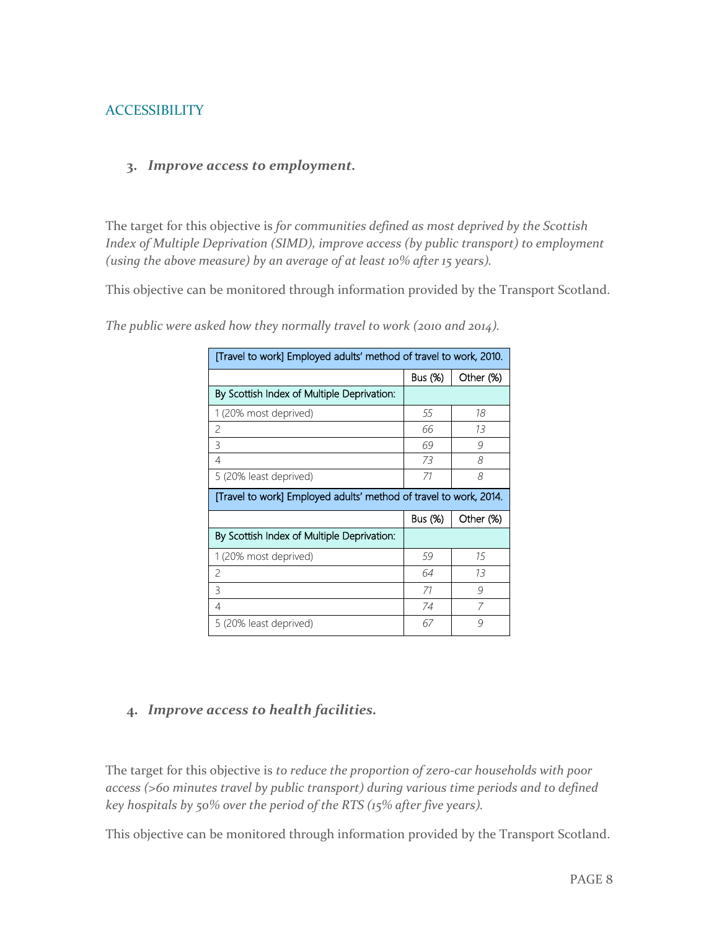#### **ACCESSIBILITY**

#### **3.** *Improve access to employment.*

The target for this objective is *for communities defined as most deprived by the Scottish Index of Multiple Deprivation (SIMD), improve access (by public transport) to employment (using the above measure) by an average of at least 10% after 15 years).* 

This objective can be monitored through information provided by the Transport Scotland.

| [Travel to work] Employed adults' method of travel to work, 2010. |         |           |  |  |  |
|-------------------------------------------------------------------|---------|-----------|--|--|--|
|                                                                   | Bus (%) | Other (%) |  |  |  |
| By Scottish Index of Multiple Deprivation:                        |         |           |  |  |  |
| 1 (20% most deprived)                                             | 55      | 18        |  |  |  |
| 2                                                                 | 66      | 13        |  |  |  |
| 3                                                                 | 69      | 9         |  |  |  |
| 4                                                                 | 73      | 8         |  |  |  |
| 5 (20% least deprived)                                            | 71      | 8         |  |  |  |
| [Travel to work] Employed adults' method of travel to work, 2014. |         |           |  |  |  |
|                                                                   |         |           |  |  |  |
|                                                                   | Bus (%) | Other (%) |  |  |  |
| By Scottish Index of Multiple Deprivation:                        |         |           |  |  |  |
| 1 (20% most deprived)                                             | 59      | 15        |  |  |  |
| $\overline{\phantom{0}}$                                          | 64      | 13        |  |  |  |
| 3                                                                 | 71      | 9         |  |  |  |
| 4                                                                 | 74      | 7         |  |  |  |

*The public were asked how they normally travel to work (2010 and 2014).* 

#### **4.** *Improve access to health facilities.*

The target for this objective is *to reduce the proportion of zero-car households with poor access (>60 minutes travel by public transport) during various time periods and to defined key hospitals by 50% over the period of the RTS (15% after five years).* 

This objective can be monitored through information provided by the Transport Scotland.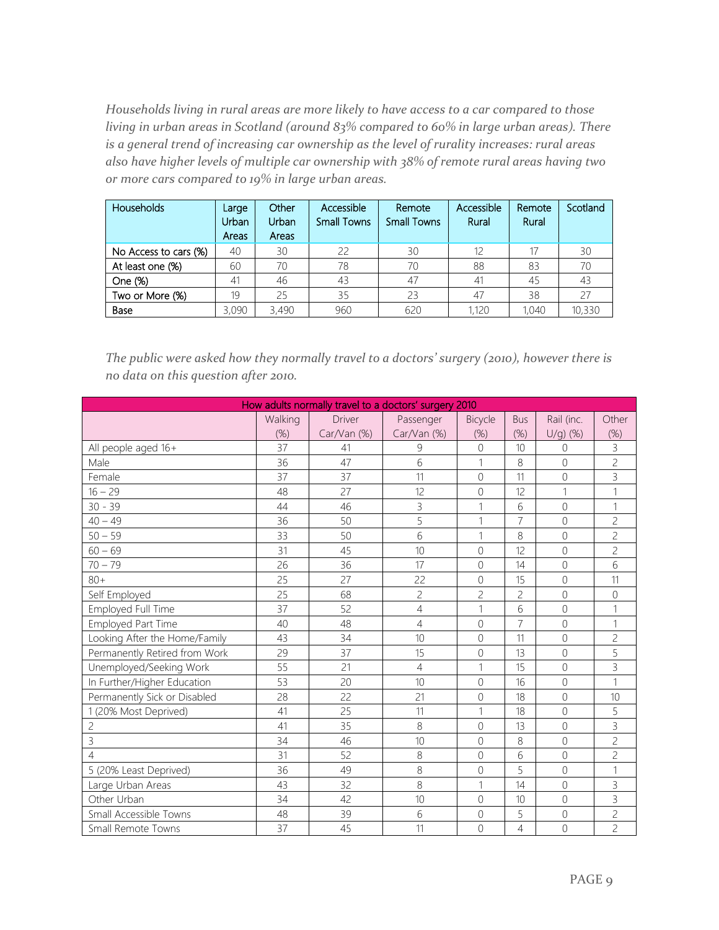*Households living in rural areas are more likely to have access to a car compared to those living in urban areas in Scotland (around 83% compared to 60% in large urban areas). There is a general trend of increasing car ownership as the level of rurality increases: rural areas also have higher levels of multiple car ownership with 38% of remote rural areas having two or more cars compared to 19% in large urban areas.* 

| <b>Households</b>     | Large<br>Urban/<br>Areas | Other<br>Urban<br>Areas | Accessible<br><b>Small Towns</b> | Remote<br><b>Small Towns</b> | Accessible<br>Rural | Remote<br>Rural | Scotland |
|-----------------------|--------------------------|-------------------------|----------------------------------|------------------------------|---------------------|-----------------|----------|
| No Access to cars (%) | 40                       | 30                      | 22                               | 30                           | 12                  | 17              | 30       |
| At least one (%)      | 60                       | 70                      | 78                               | 70                           | 88                  | 83              | 70       |
| One (%)               | 41                       | 46                      | 43                               | 47                           | 41                  | 45              | 43       |
| Two or More (%)       | 19                       | 25                      | 35                               | 23                           | 47                  | 38              |          |
| Base                  | 3,090                    | 3,490                   | 960                              | 620                          | 1,120               | 1.040           | 10,330   |

*The public were asked how they normally travel to a doctors' surgery (2010), however there is no data on this question after 2010.* 

| How adults normally travel to a doctors' surgery 2010 |         |               |                |                |                |                |                |
|-------------------------------------------------------|---------|---------------|----------------|----------------|----------------|----------------|----------------|
|                                                       | Walking | <b>Driver</b> | Passenger      | Bicycle        | <b>Bus</b>     | Rail (inc.     | Other          |
|                                                       | (%)     | Car/Van (%)   | Car/Van (%)    | (%)            | (%)            | $U/q$ ) (%)    | (%)            |
| All people aged 16+                                   | 37      | 41            | 9              | $\Omega$       | 10             | 0              | 3              |
| Male                                                  | 36      | 47            | 6              |                | 8              | $\Omega$       | $\overline{c}$ |
| Female                                                | 37      | 37            | 11             | $\Omega$       | 11             | $\Omega$       | 3              |
| $16 - 29$                                             | 48      | 27            | 12             | $\overline{0}$ | 12             | 1              | 1              |
| $30 - 39$                                             | 44      | 46            | $\overline{3}$ | 1              | 6              | 0              | 1              |
| $40 - 49$                                             | 36      | 50            | 5              | 1              | $\overline{7}$ | $\overline{O}$ | $\overline{c}$ |
| $50 - 59$                                             | 33      | 50            | 6              | 1              | 8              | 0              | 2              |
| $60 - 69$                                             | 31      | 45            | 10             | $\Omega$       | 12             | $\Omega$       | $\overline{c}$ |
| $70 - 79$                                             | 26      | 36            | 17             | $\Omega$       | 14             | $\overline{O}$ | 6              |
| $80+$                                                 | 25      | 27            | 22             | $\mathcal{O}$  | 15             | 0              | 11             |
| Self Employed                                         | 25      | 68            | $\overline{c}$ | $\overline{c}$ | $\overline{c}$ | $\overline{O}$ | $\overline{0}$ |
| Employed Full Time                                    | 37      | 52            | $\overline{4}$ | 1              | 6              | $\overline{0}$ | 1              |
| Employed Part Time                                    | 40      | 48            | $\overline{4}$ | $\Omega$       | 7              | $\Omega$       | 1              |
| Looking After the Home/Family                         | 43      | 34            | 10             | $\mathcal{O}$  | 11             | $\overline{0}$ | $\overline{c}$ |
| Permanently Retired from Work                         | 29      | 37            | 15             | $\Omega$       | 13             | $\overline{O}$ | 5              |
| Unemployed/Seeking Work                               | 55      | 21            | $\overline{4}$ | $\mathbf{1}$   | 15             | $\Omega$       | 3              |
| In Further/Higher Education                           | 53      | 20            | 10             | $\overline{0}$ | 16             | $\Omega$       | 1              |
| Permanently Sick or Disabled                          | 28      | 22            | 21             | $\Omega$       | 18             | $\Omega$       | 10             |
| 1 (20% Most Deprived)                                 | 41      | 25            | 11             | 1              | 18             | $\Omega$       | 5              |
| $\mathbf{Z}$                                          | 41      | 35            | 8              | $\overline{0}$ | 13             | $\Omega$       | 3              |
| 3                                                     | 34      | 46            | 10             | $\overline{0}$ | 8              | $\Omega$       | $\overline{c}$ |
| 4                                                     | 31      | 52            | 8              | $\Omega$       | 6              | $\Omega$       | 2              |
| 5 (20% Least Deprived)                                | 36      | 49            | 8              | $\overline{0}$ | 5              | $\Omega$       | 1              |
| Large Urban Areas                                     | 43      | 32            | 8              | 1              | 14             | $\overline{O}$ | 3              |
| Other Urban                                           | 34      | 42            | 10             | $\overline{0}$ | 10             | 0              | 3              |
| Small Accessible Towns                                | 48      | 39            | 6              | $\overline{0}$ | 5              | 0              | $\overline{c}$ |
| Small Remote Towns                                    | 37      | 45            | 11             | $\overline{0}$ | 4              | $\Omega$       | 2              |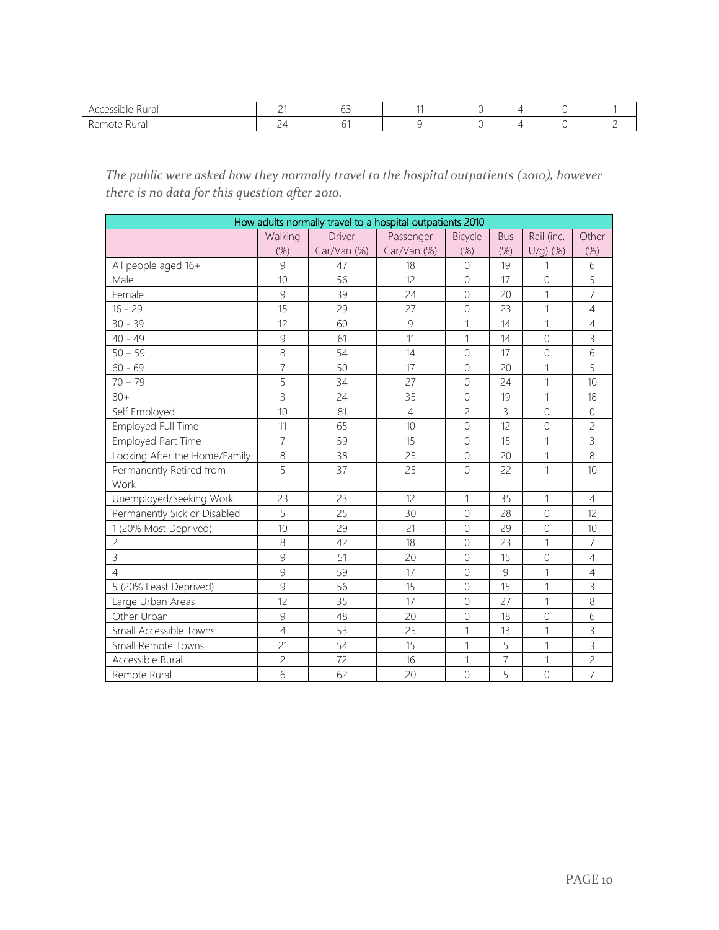| ₹ural<br>$\Delta$<br>$\cdots$            | $\sim$<br>- | -- |  |  |  |
|------------------------------------------|-------------|----|--|--|--|
| . KAMUta<br>$\cdots$<br>I di<br>w<br>11. |             |    |  |  |  |

# *The public were asked how they normally travel to the hospital outpatients (2010), however there is no data for this question after 2010.*

| How adults normally travel to a hospital outpatients 2010 |                |               |                |                |                |                |                |  |  |
|-----------------------------------------------------------|----------------|---------------|----------------|----------------|----------------|----------------|----------------|--|--|
|                                                           | Walking        | <b>Driver</b> | Passenger      | Bicycle        | <b>Bus</b>     | Rail (inc.     | Other          |  |  |
|                                                           | $(\%)$         | Car/Van (%)   | Car/Van (%)    | (%)            | (%)            | $U/g)$ (%)     | (%)            |  |  |
| All people aged 16+                                       | 9              | 47            | 18             | $\Omega$       | 19             | 1              | 6              |  |  |
| Male                                                      | 10             | 56            | 12             | $\Omega$       | 17             | $\Omega$       | 5              |  |  |
| Female                                                    | 9              | 39            | 24             | $\mathbf 0$    | 20             | 1              | $\overline{7}$ |  |  |
| $16 - 29$                                                 | 15             | 29            | 27             | $\overline{0}$ | 23             | 1              | $\overline{4}$ |  |  |
| $30 - 39$                                                 | 12             | 60            | 9              | 1              | 14             | 1              | $\overline{4}$ |  |  |
| $40 - 49$                                                 | 9              | 61            | 11             | 1              | 14             | $\Omega$       | 3              |  |  |
| $50 - 59$                                                 | 8              | 54            | 14             | $\sqrt{a}$     | 17             | $\mathbf 0$    | 6              |  |  |
| $60 - 69$                                                 | $\overline{7}$ | 50            | 17             | $\Omega$       | 20             | 1              | 5              |  |  |
| $70 - 79$                                                 | 5              | 34            | 27             | $\mathbf 0$    | 24             | 1              | 10             |  |  |
| $80+$                                                     | $\overline{3}$ | 24            | 35             | $\overline{0}$ | 19             | 1              | 18             |  |  |
| Self Employed                                             | 10             | 81            | $\overline{4}$ | $\overline{c}$ | $\overline{3}$ | $\Omega$       | $\Omega$       |  |  |
| Employed Full Time                                        | 11             | 65            | 10             | $\overline{0}$ | 12             | $\Omega$       | $\overline{c}$ |  |  |
| Employed Part Time                                        | $\overline{7}$ | 59            | 15             | $\sqrt{a}$     | 15             | 1              | 3              |  |  |
| Looking After the Home/Family                             | 8              | 38            | 25             | $\sqrt{a}$     | 20             | 1              | 8              |  |  |
| Permanently Retired from                                  | 5              | 37            | 25             | $\mathbf 0$    | 22             | 1              | 10             |  |  |
| Work                                                      |                |               |                |                |                |                |                |  |  |
| Unemployed/Seeking Work                                   | 23             | 23            | 12             | 1              | 35             | 1              | $\overline{4}$ |  |  |
| Permanently Sick or Disabled                              | 5              | 25            | 30             | $\Omega$       | 28             | $\Omega$       | 12             |  |  |
| 1 (20% Most Deprived)                                     | 10             | 29            | 21             | $\Omega$       | 29             | $\overline{0}$ | 10             |  |  |
| $\overline{c}$                                            | 8              | 42            | 18             | $\Omega$       | 23             | 1              | $\overline{7}$ |  |  |
| $\overline{3}$                                            | $\overline{9}$ | 51            | 20             | $\mathbf 0$    | 15             | $\overline{0}$ | $\overline{4}$ |  |  |
| 4                                                         | 9              | 59            | 17             | $\overline{0}$ | 9              | 1              | $\overline{4}$ |  |  |
| 5 (20% Least Deprived)                                    | 9              | 56            | 15             | $\Omega$       | 15             | 1              | 3              |  |  |
| Large Urban Areas                                         | 12             | 35            | 17             | $\overline{0}$ | 27             | 1              | 8              |  |  |
| Other Urban                                               | 9              | 48            | 20             | $\mathbf 0$    | 18             | $\mathbf 0$    | 6              |  |  |
| Small Accessible Towns                                    | $\overline{4}$ | 53            | 25             | $\mathbf{1}$   | 13             | 1              | 3              |  |  |
| Small Remote Towns                                        | 21             | 54            | 15             | 1              | 5              | 1              | 3              |  |  |
| Accessible Rural                                          | $\overline{c}$ | 72            | 16             | 1              | $\overline{7}$ | 1              | $\overline{c}$ |  |  |
| Remote Rural                                              | 6              | 62            | 20             | $\Omega$       | 5              | $\overline{0}$ | $\overline{7}$ |  |  |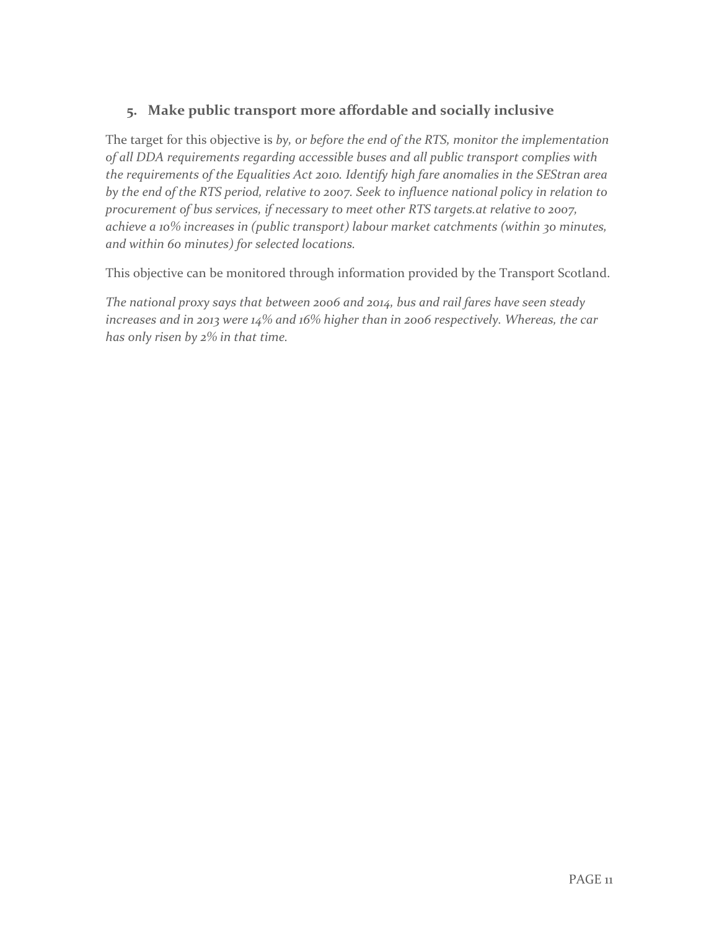# **5. Make public transport more affordable and socially inclusive**

The target for this objective is *by, or before the end of the RTS, monitor the implementation of all DDA requirements regarding accessible buses and all public transport complies with the requirements of the Equalities Act 2010. Identify high fare anomalies in the SEStran area by the end of the RTS period, relative to 2007. Seek to influence national policy in relation to procurement of bus services, if necessary to meet other RTS targets.at relative to 2007, achieve a 10% increases in (public transport) labour market catchments (within 30 minutes, and within 60 minutes) for selected locations.* 

This objective can be monitored through information provided by the Transport Scotland.

*The national proxy says that between 2006 and 2014, bus and rail fares have seen steady increases and in 2013 were 14% and 16% higher than in 2006 respectively. Whereas, the car has only risen by 2% in that time.*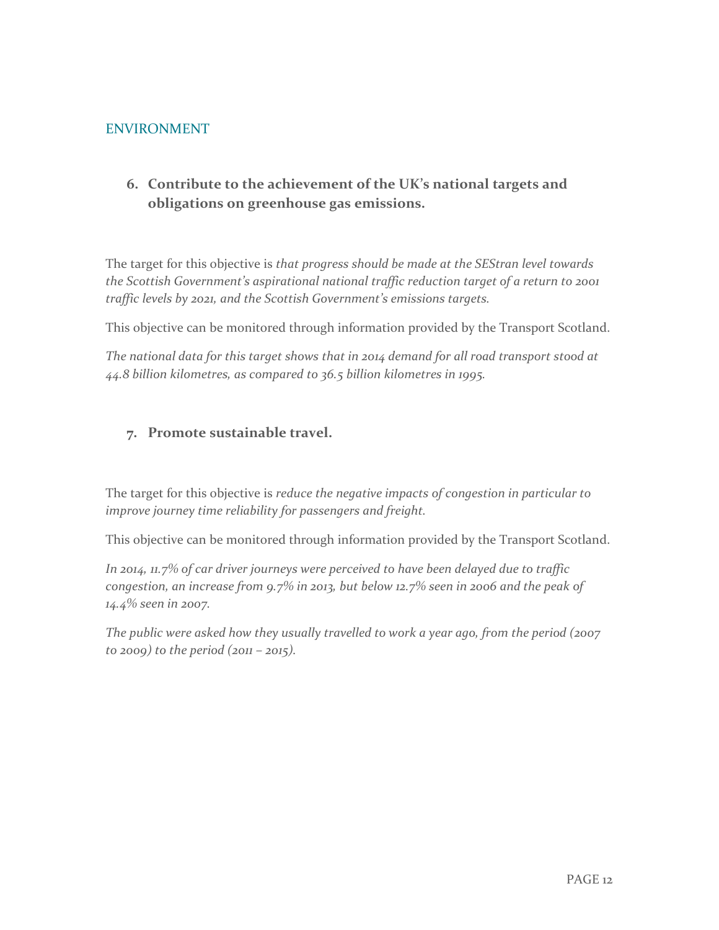#### ENVIRONMENT

# **6. Contribute to the achievement of the UK's national targets and obligations on greenhouse gas emissions.**

The target for this objective is *that progress should be made at the SEStran level towards the Scottish Government's aspirational national traffic reduction target of a return to 2001 traffic levels by 2021, and the Scottish Government's emissions targets.* 

This objective can be monitored through information provided by the Transport Scotland.

*The national data for this target shows that in 2014 demand for all road transport stood at 44.8 billion kilometres, as compared to 36.5 billion kilometres in 1995.* 

#### **7. Promote sustainable travel.**

The target for this objective is *reduce the negative impacts of congestion in particular to improve journey time reliability for passengers and freight.* 

This objective can be monitored through information provided by the Transport Scotland.

*In 2014, 11.7% of car driver journeys were perceived to have been delayed due to traffic congestion, an increase from 9.7% in 2013, but below 12.7% seen in 2006 and the peak of 14.4% seen in 2007.* 

*The public were asked how they usually travelled to work a year ago, from the period (2007 to 2009) to the period (2011 – 2015).*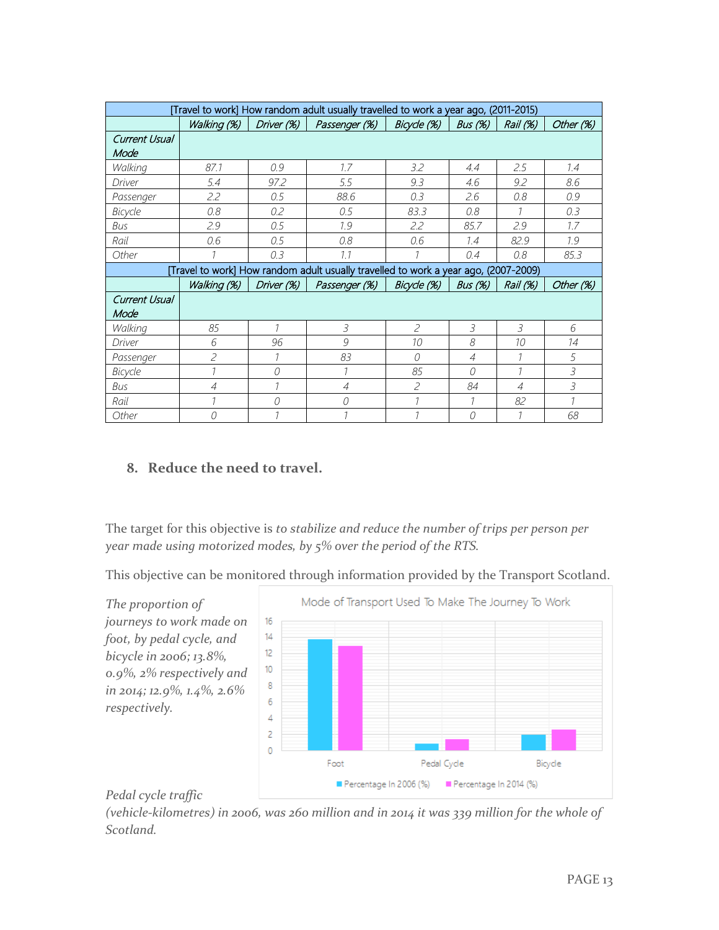| [Travel to work] How random adult usually travelled to work a year ago, (2011-2015) |                          |            |                                                                                     |                          |                |                |               |
|-------------------------------------------------------------------------------------|--------------------------|------------|-------------------------------------------------------------------------------------|--------------------------|----------------|----------------|---------------|
|                                                                                     | Walking (%)              | Driver (%) | Passenger (%)                                                                       | Bicycle (%)              | Bus $(%)$      | Rail (%)       | Other (%)     |
| Current Usual                                                                       |                          |            |                                                                                     |                          |                |                |               |
| Mode                                                                                |                          |            |                                                                                     |                          |                |                |               |
| Walking                                                                             | 87.1                     | 0.9        | 1.7                                                                                 | 3.2                      | 4.4            | 2.5            | 1.4           |
| Driver                                                                              | 5.4                      | 97.2       | 5.5                                                                                 | 9.3                      | 4.6            | 9.2            | 8.6           |
| Passenger                                                                           | 2.2                      | 0.5        | 88.6                                                                                | 0.3                      | 2.6            | 0.8            | 0.9           |
| Bicycle                                                                             | 0.8                      | 0.2        | 0.5                                                                                 | 83.3                     | 0.8            | $\mathcal{I}$  | 0.3           |
| Bus                                                                                 | 2.9                      | 0.5        | 1.9                                                                                 | 2.2                      | 85.7           | 2.9            | 1.7           |
| Rail                                                                                | 0.6                      | 0.5        | 0.8                                                                                 | 0.6                      | 7.4            | 82.9           | 1.9           |
| Other                                                                               | 1                        | 0.3        | 7.7                                                                                 | 1                        | 0.4            | 0.8            | 85.3          |
|                                                                                     |                          |            | [Travel to work] How random adult usually travelled to work a year ago, (2007-2009) |                          |                |                |               |
|                                                                                     | Walking (%)              | Driver (%) | Passenger (%)                                                                       | Bicycle (%)              | Bus (%)        | Rail (%)       | Other (%)     |
| Current Usual                                                                       |                          |            |                                                                                     |                          |                |                |               |
| Mode                                                                                |                          |            |                                                                                     |                          |                |                |               |
|                                                                                     |                          |            |                                                                                     |                          |                |                |               |
| Walking                                                                             | 85                       |            | 3                                                                                   | $\overline{\phantom{0}}$ | 3              | 3              | 6             |
| Driver                                                                              | 6                        | 96         | 9                                                                                   | 10 <sup>2</sup>          | 8              | 10             | 14            |
| Passenger                                                                           | $\overline{\phantom{a}}$ | 7          | 83                                                                                  | $\Omega$                 | $\overline{A}$ | $\mathcal{I}$  | 5             |
| Bicycle                                                                             | 1                        | 0          | 1                                                                                   | 85                       | 0              |                | 3             |
| Bus                                                                                 | $\overline{4}$           | 7          | $\overline{4}$                                                                      | $\overline{\phantom{a}}$ | 84             | $\overline{A}$ | 3             |
| Rail                                                                                | $\overline{1}$           | 0          | 0                                                                                   | $\overline{\phantom{a}}$ | $\mathcal I$   | 82             | $\mathcal{I}$ |

#### **8. Reduce the need to travel.**

The target for this objective is *to stabilize and reduce the number of trips per person per year made using motorized modes, by 5% over the period of the RTS.* 

This objective can be monitored through information provided by the Transport Scotland.



#### *Pedal cycle traffic*

*(vehicle-kilometres) in 2006, was 260 million and in 2014 it was 339 million for the whole of Scotland.*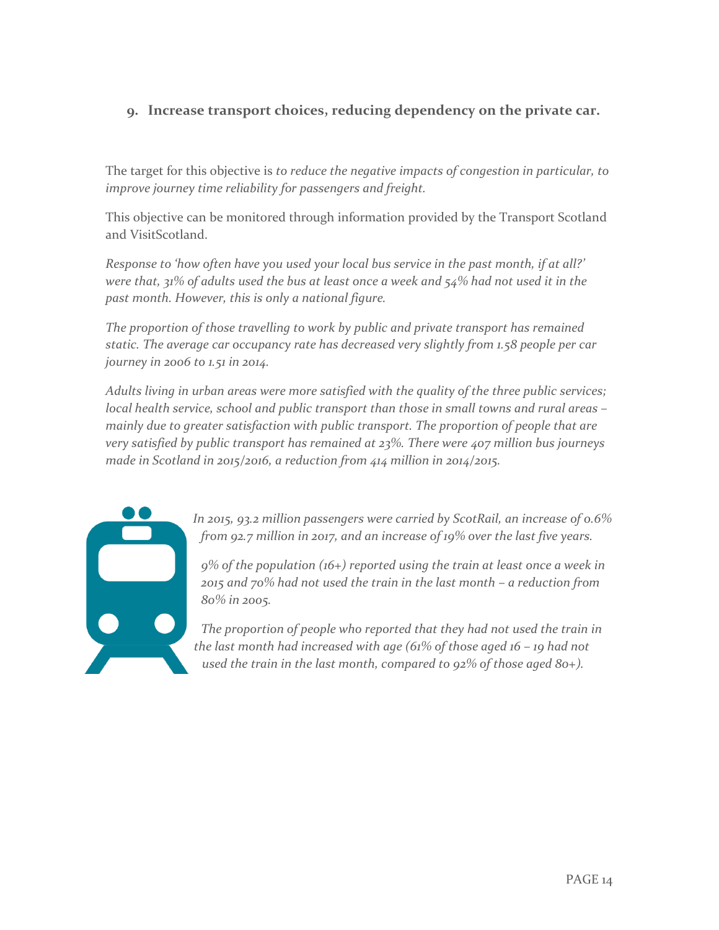#### **9. Increase transport choices, reducing dependency on the private car.**

The target for this objective is *to reduce the negative impacts of congestion in particular, to improve journey time reliability for passengers and freight.* 

This objective can be monitored through information provided by the Transport Scotland and VisitScotland.

*Response to 'how often have you used your local bus service in the past month, if at all?' were that, 31% of adults used the bus at least once a week and 54% had not used it in the past month. However, this is only a national figure.* 

*The proportion of those travelling to work by public and private transport has remained static. The average car occupancy rate has decreased very slightly from 1.58 people per car journey in 2006 to 1.51 in 2014.* 

*Adults living in urban areas were more satisfied with the quality of the three public services; local health service, school and public transport than those in small towns and rural areas – mainly due to greater satisfaction with public transport. The proportion of people that are very satisfied by public transport has remained at 23%. There were 407 million bus journeys made in Scotland in 2015/2016, a reduction from 414 million in 2014/2015.* 



*In 2015, 93.2 million passengers were carried by ScotRail, an increase of 0.6% from 92.7 million in 2017, and an increase of 19% over the last five years.* 

*9% of the population (16+) reported using the train at least once a week in 2015 and 70% had not used the train in the last month – a reduction from 80% in 2005.*

*The proportion of people who reported that they had not used the train in the last month had increased with age (61% of those aged 16 – 19 had not used the train in the last month, compared to 92% of those aged 80+).*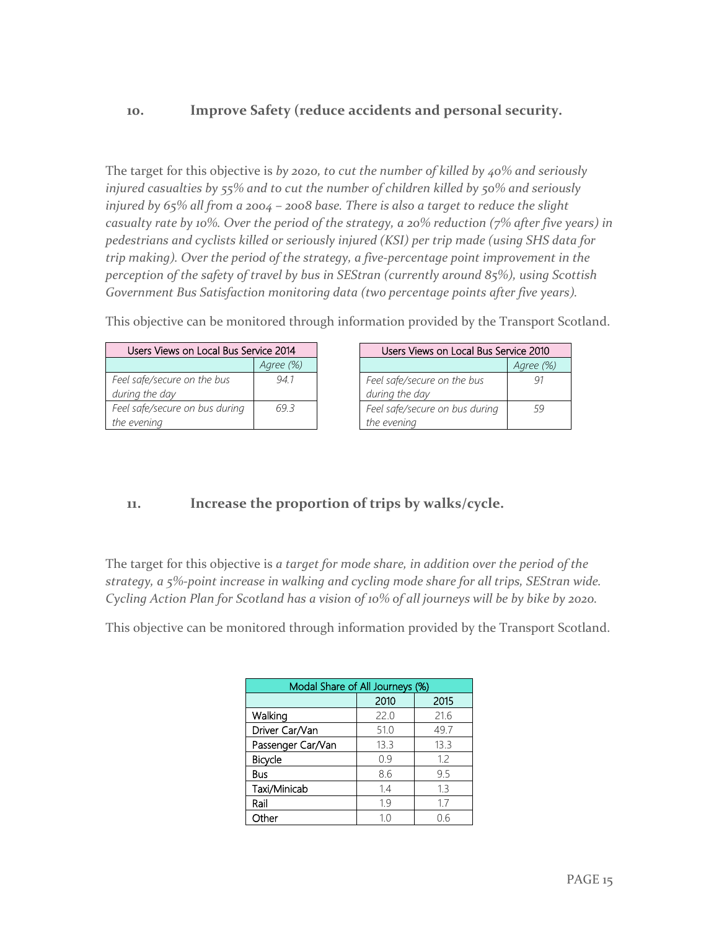#### **10. Improve Safety (reduce accidents and personal security.**

The target for this objective is *by 2020, to cut the number of killed by 40% and seriously injured casualties by 55% and to cut the number of children killed by 50% and seriously injured by 65% all from a 2004 – 2008 base. There is also a target to reduce the slight casualty rate by 10%. Over the period of the strategy, a 20% reduction (7% after five years) in pedestrians and cyclists killed or seriously injured (KSI) per trip made (using SHS data for trip making). Over the period of the strategy, a five-percentage point improvement in the perception of the safety of travel by bus in SEStran (currently around 85%), using Scottish Government Bus Satisfaction monitoring data (two percentage points after five years).* 

| Users Views on Local Bus Service 2014 | lsei      |          |
|---------------------------------------|-----------|----------|
|                                       | Agree (%) |          |
| Feel safe/secure on the bus           | 94 I      | Feel saf |
| during the day                        |           | during i |

*69.3*

*Feel safe/secure on bus during* 

*the evening*

This objective can be monitored through information provided by the Transport Scotland.

| Users Views on Local Bus Service 2010         |           |  |
|-----------------------------------------------|-----------|--|
|                                               | Agree (%) |  |
| Feel safe/secure on the bus<br>during the day | 91        |  |
| Feel safe/secure on bus during<br>the evening | 59        |  |

**11. Increase the proportion of trips by walks/cycle.** 

The target for this objective is *a target for mode share, in addition over the period of the strategy, a 5%-point increase in walking and cycling mode share for all trips, SEStran wide. Cycling Action Plan for Scotland has a vision of 10% of all journeys will be by bike by 2020.* 

This objective can be monitored through information provided by the Transport Scotland.

| Modal Share of All Journeys (%) |      |      |
|---------------------------------|------|------|
|                                 | 2010 | 2015 |
| Walking                         | 22.0 | 21.6 |
| Driver Car/Van                  | 51.0 | 49.7 |
| Passenger Car/Van               | 13.3 | 13.3 |
| Bicycle                         | 0.9  | 1.2  |
| Bus                             | 8.6  | 9.5  |
| Taxi/Minicab                    | 1.4  | 1.3  |
| Rail                            | 1.9  | 1.7  |
| Other                           | 10   | 0.6  |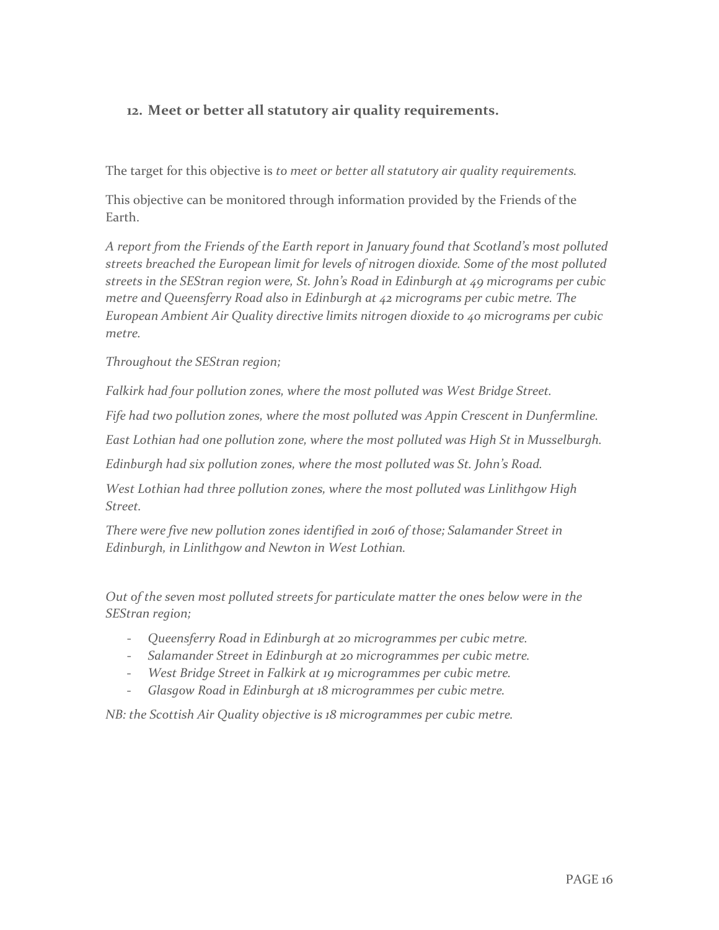#### **12. Meet or better all statutory air quality requirements.**

The target for this objective is *to meet or better all statutory air quality requirements.*

This objective can be monitored through information provided by the Friends of the Earth.

*A report from the Friends of the Earth report in January found that Scotland's most polluted streets breached the European limit for levels of nitrogen dioxide. Some of the most polluted streets in the SEStran region were, St. John's Road in Edinburgh at 49 micrograms per cubic metre and Queensferry Road also in Edinburgh at 42 micrograms per cubic metre. The European Ambient Air Quality directive limits nitrogen dioxide to 40 micrograms per cubic metre.* 

*Throughout the SEStran region;* 

*Falkirk had four pollution zones, where the most polluted was West Bridge Street.* 

*Fife had two pollution zones, where the most polluted was Appin Crescent in Dunfermline.* 

*East Lothian had one pollution zone, where the most polluted was High St in Musselburgh.* 

*Edinburgh had six pollution zones, where the most polluted was St. John's Road.* 

*West Lothian had three pollution zones, where the most polluted was Linlithgow High Street.* 

*There were five new pollution zones identified in 2016 of those; Salamander Street in Edinburgh, in Linlithgow and Newton in West Lothian.* 

*Out of the seven most polluted streets for particulate matter the ones below were in the SEStran region;* 

- *Queensferry Road in Edinburgh at 20 microgrammes per cubic metre.*
- *Salamander Street in Edinburgh at 20 microgrammes per cubic metre.*
- *West Bridge Street in Falkirk at 19 microgrammes per cubic metre.*
- *Glasgow Road in Edinburgh at 18 microgrammes per cubic metre.*

*NB: the Scottish Air Quality objective is 18 microgrammes per cubic metre.*